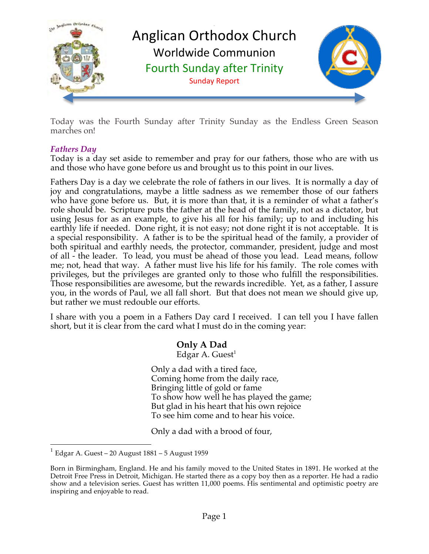

Today was the Fourth Sunday after Trinity Sunday as the Endless Green Season marches on!

# *Fathers Day*

Today is a day set aside to remember and pray for our fathers, those who are with us and those who have gone before us and brought us to this point in our lives.

Fathers Day is a day we celebrate the role of fathers in our lives. It is normally a day of joy and congratulations, maybe a little sadness as we remember those of our fathers who have gone before us. But, it is more than that, it is a reminder of what a father's role should be. Scripture puts the father at the head of the family, not as a dictator, but using Jesus for as an example, to give his all for his family; up to and including his earthly life if needed. Done right, it is not easy; not done right it is not acceptable. It is a special responsibility. A father is to be the spiritual head of the family, a provider of both spiritual and earthly needs, the protector, commander, president, judge and most of all - the leader. To lead, you must be ahead of those you lead. Lead means, follow me; not, head that way. A father must live his life for his family. The role comes with privileges, but the privileges are granted only to those who fulfill the responsibilities. Those responsibilities are awesome, but the rewards incredible. Yet, as a father, I assure you, in the words of Paul, we all fall short. But that does not mean we should give up, but rather we must redouble our efforts.

I share with you a poem in a Fathers Day card I received. I can tell you I have fallen short, but it is clear from the card what I must do in the coming year:

# **Only A Dad**

Edgar A. Guest<sup>1</sup>

Only a dad with a tired face, Coming home from the daily race, Bringing little of gold or fame To show how well he has played the game; But glad in his heart that his own rejoice To see him come and to hear his voice.

Only a dad with a brood of four,

 $1$  Edgar A. Guest – 20 August 1881 – 5 August 1959

Born in Birmingham, England. He and his family moved to the United States in 1891. He worked at the Detroit Free Press in Detroit, Michigan. He started there as a copy boy then as a reporter. He had a radio show and a television series. Guest has written 11,000 poems. His sentimental and optimistic poetry are inspiring and enjoyable to read.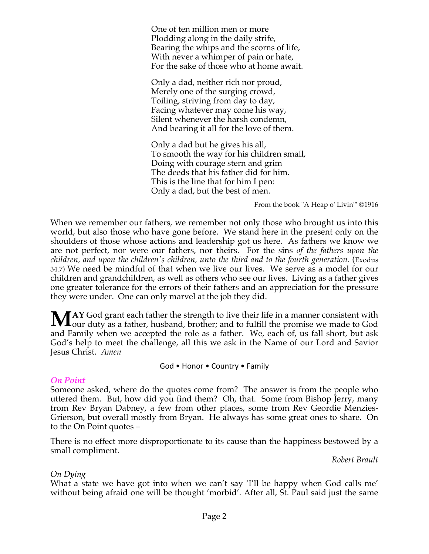One of ten million men or more Plodding along in the daily strife, Bearing the whips and the scorns of life, With never a whimper of pain or hate, For the sake of those who at home await.

Only a dad, neither rich nor proud, Merely one of the surging crowd, Toiling, striving from day to day, Facing whatever may come his way, Silent whenever the harsh condemn, And bearing it all for the love of them.

Only a dad but he gives his all, To smooth the way for his children small, Doing with courage stern and grim The deeds that his father did for him. This is the line that for him I pen: Only a dad, but the best of men.

From the book "A Heap o' Livin'" ©1916

When we remember our fathers, we remember not only those who brought us into this world, but also those who have gone before. We stand here in the present only on the shoulders of those whose actions and leadership got us here. As fathers we know we are not perfect, nor were our fathers, nor theirs. For the sins *of the fathers upon the children, and upon the children's children, unto the third and to the fourth generation*. (Exodus 34.7) We need be mindful of that when we live our lives. We serve as a model for our children and grandchildren, as well as others who see our lives. Living as a father gives one greater tolerance for the errors of their fathers and an appreciation for the pressure they were under. One can only marvel at the job they did.

**AY** God grant each father the strength to live their life in a manner consistent with MAY God grant each father the strength to live their life in a manner consistent with our duty as a father, husband, brother; and to fulfill the promise we made to God and Family when we accepted the role as a father. We, each of, us fall short, but ask God's help to meet the challenge, all this we ask in the Name of our Lord and Savior Jesus Christ. *Amen*

God • Honor • Country • Family

#### *On Point*

Someone asked, where do the quotes come from? The answer is from the people who uttered them. But, how did you find them? Oh, that. Some from Bishop Jerry, many from Rev Bryan Dabney, a few from other places, some from Rev Geordie Menzies-Grierson, but overall mostly from Bryan. He always has some great ones to share. On to the On Point quotes –

There is no effect more disproportionate to its cause than the happiness bestowed by a small compliment.

*Robert Brault*

# *On Dying*

What a state we have got into when we can't say 'I'll be happy when God calls me' without being afraid one will be thought 'morbid'. After all, St. Paul said just the same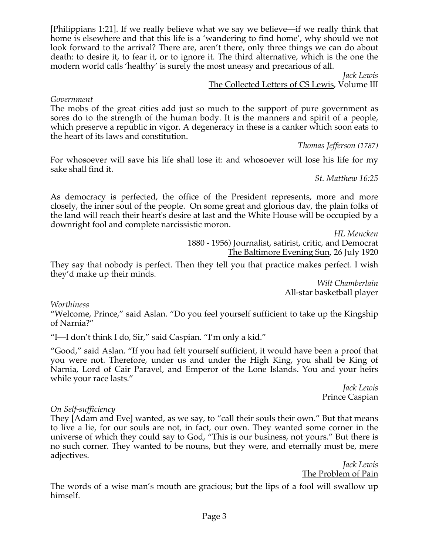[Philippians 1:21]. If we really believe what we say we believe—if we really think that home is elsewhere and that this life is a 'wandering to find home', why should we not look forward to the arrival? There are, aren't there, only three things we can do about death: to desire it, to fear it, or to ignore it. The third alternative, which is the one the modern world calls 'healthy' is surely the most uneasy and precarious of all.

*Jack Lewis*

### The Collected Letters of CS Lewis, Volume III

*Government*

The mobs of the great cities add just so much to the support of pure government as sores do to the strength of the human body. It is the manners and spirit of a people, which preserve a republic in vigor. A degeneracy in these is a canker which soon eats to the heart of its laws and constitution.

*Thomas Jefferson (1787)*

For whosoever will save his life shall lose it: and whosoever will lose his life for my sake shall find it.

*St. Matthew 16:25*

As democracy is perfected, the office of the President represents, more and more closely, the inner soul of the people. On some great and glorious day, the plain folks of the land will reach their heart's desire at last and the White House will be occupied by a downright fool and complete narcissistic moron.

*HL Mencken* 1880 - 1956) Journalist, satirist, critic, and Democrat

The Baltimore Evening Sun, 26 July 1920

They say that nobody is perfect. Then they tell you that practice makes perfect. I wish they'd make up their minds.

*Wilt Chamberlain* All-star basketball player

*Worthiness*

"Welcome, Prince," said Aslan. "Do you feel yourself sufficient to take up the Kingship of Narnia?"

"I—I don't think I do, Sir," said Caspian. "I'm only a kid."

"Good," said Aslan. "If you had felt yourself sufficient, it would have been a proof that you were not. Therefore, under us and under the High King, you shall be King of Narnia, Lord of Cair Paravel, and Emperor of the Lone Islands. You and your heirs while your race lasts."

> *Jack Lewis* Prince Caspian

#### *On Self-sufficiency*

They [Adam and Eve] wanted, as we say, to "call their souls their own." But that means to live a lie, for our souls are not, in fact, our own. They wanted some corner in the universe of which they could say to God, "This is our business, not yours." But there is no such corner. They wanted to be nouns, but they were, and eternally must be, mere adjectives.

*Jack Lewis* The Problem of Pain

The words of a wise man's mouth are gracious; but the lips of a fool will swallow up himself.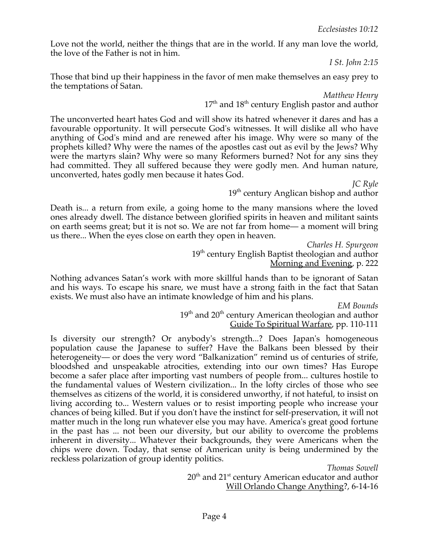Love not the world, neither the things that are in the world. If any man love the world, the love of the Father is not in him.

*I St. John 2:15*

Those that bind up their happiness in the favor of men make themselves an easy prey to the temptations of Satan.

*Matthew Henry*

 $17<sup>th</sup>$  and  $18<sup>th</sup>$  century English pastor and author

The unconverted heart hates God and will show its hatred whenever it dares and has a favourable opportunity. It will persecute God's witnesses. It will dislike all who have anything of God's mind and are renewed after his image. Why were so many of the prophets killed? Why were the names of the apostles cast out as evil by the Jews? Why were the martyrs slain? Why were so many Reformers burned? Not for any sins they had committed. They all suffered because they were godly men. And human nature, unconverted, hates godly men because it hates God.

*JC Ryle* 19<sup>th</sup> century Anglican bishop and author

Death is... a return from exile, a going home to the many mansions where the loved ones already dwell. The distance between glorified spirits in heaven and militant saints on earth seems great; but it is not so. We are not far from home— a moment will bring us there... When the eyes close on earth they open in heaven.

*Charles H. Spurgeon* 19<sup>th</sup> century English Baptist theologian and author Morning and Evening, p. 222

Nothing advances Satan's work with more skillful hands than to be ignorant of Satan and his ways. To escape his snare, we must have a strong faith in the fact that Satan exists. We must also have an intimate knowledge of him and his plans.

> *EM Bounds*  $19<sup>th</sup>$  and  $20<sup>th</sup>$  century American theologian and author Guide To Spiritual Warfare, pp. 110-111

Is diversity our strength? Or anybody's strength...? Does Japan's homogeneous population cause the Japanese to suffer? Have the Balkans been blessed by their heterogeneity— or does the very word "Balkanization" remind us of centuries of strife, bloodshed and unspeakable atrocities, extending into our own times? Has Europe become a safer place after importing vast numbers of people from... cultures hostile to the fundamental values of Western civilization... In the lofty circles of those who see themselves as citizens of the world, it is considered unworthy, if not hateful, to insist on living according to... Western values or to resist importing people who increase your chances of being killed. But if you don't have the instinct for self-preservation, it will not matter much in the long run whatever else you may have. America's great good fortune in the past has ... not been our diversity, but our ability to overcome the problems inherent in diversity... Whatever their backgrounds, they were Americans when the chips were down. Today, that sense of American unity is being undermined by the reckless polarization of group identity politics.

*Thomas Sowell*  $20<sup>th</sup>$  and  $21<sup>st</sup>$  century American educator and author Will Orlando Change Anything?, 6-14-16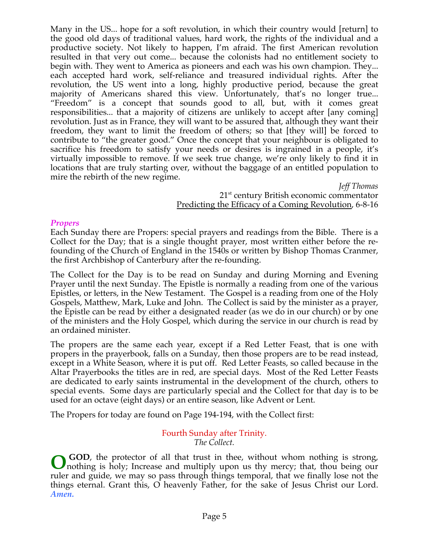Many in the US... hope for a soft revolution, in which their country would [return] to the good old days of traditional values, hard work, the rights of the individual and a productive society. Not likely to happen, I'm afraid. The first American revolution resulted in that very out come... because the colonists had no entitlement society to begin with. They went to America as pioneers and each was his own champion. They... each accepted hard work, self-reliance and treasured individual rights. After the revolution, the US went into a long, highly productive period, because the great majority of Americans shared this view. Unfortunately, that's no longer true... "Freedom" is a concept that sounds good to all, but, with it comes great responsibilities... that a majority of citizens are unlikely to accept after [any coming] revolution. Just as in France, they will want to be assured that, although they want their freedom, they want to limit the freedom of others; so that [they will] be forced to contribute to "the greater good." Once the concept that your neighbour is obligated to sacrifice his freedom to satisfy your needs or desires is ingrained in a people, it's virtually impossible to remove. If we seek true change, we're only likely to find it in locations that are truly starting over, without the baggage of an entitled population to mire the rebirth of the new regime.

*Jeff Thomas* 21<sup>st</sup> century British economic commentator Predicting the Efficacy of a Coming Revolution, 6-8-16

#### *Propers*

Each Sunday there are Propers: special prayers and readings from the Bible. There is a Collect for the Day; that is a single thought prayer, most written either before the refounding of the Church of England in the 1540s or written by Bishop Thomas Cranmer, the first Archbishop of Canterbury after the re-founding.

The Collect for the Day is to be read on Sunday and during Morning and Evening Prayer until the next Sunday. The Epistle is normally a reading from one of the various Epistles, or letters, in the New Testament. The Gospel is a reading from one of the Holy Gospels, Matthew, Mark, Luke and John. The Collect is said by the minister as a prayer, the Epistle can be read by either a designated reader (as we do in our church) or by one of the ministers and the Holy Gospel, which during the service in our church is read by an ordained minister.

The propers are the same each year, except if a Red Letter Feast, that is one with propers in the prayerbook, falls on a Sunday, then those propers are to be read instead, except in a White Season, where it is put off. Red Letter Feasts, so called because in the Altar Prayerbooks the titles are in red, are special days. Most of the Red Letter Feasts are dedicated to early saints instrumental in the development of the church, others to special events. Some days are particularly special and the Collect for that day is to be used for an octave (eight days) or an entire season, like Advent or Lent.

The Propers for today are found on Page 194-194, with the Collect first:

Fourth Sunday after Trinity. *The Collect.*

 **GOD**, the protector of all that trust in thee, without whom nothing is strong, **O** GOD, the protector of all that trust in thee, without whom nothing is strong, nothing is holy; Increase and multiply upon us thy mercy; that, thou being our ruler and guide, we may so pass through things temporal, that we finally lose not the things eternal. Grant this, O heavenly Father, for the sake of Jesus Christ our Lord. *Amen.*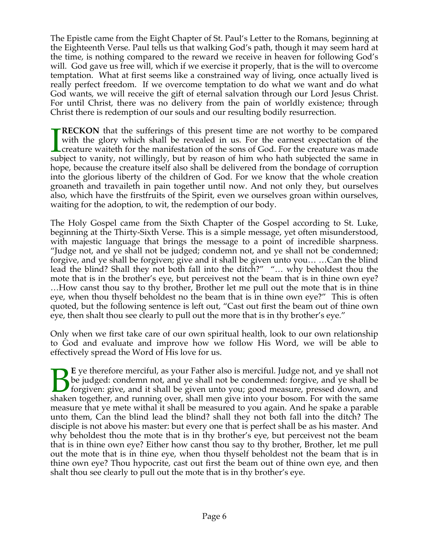The Epistle came from the Eight Chapter of St. Paul's Letter to the Romans, beginning at the Eighteenth Verse. Paul tells us that walking God's path, though it may seem hard at the time, is nothing compared to the reward we receive in heaven for following God's will. God gave us free will, which if we exercise it properly, that is the will to overcome temptation. What at first seems like a constrained way of living, once actually lived is really perfect freedom. If we overcome temptation to do what we want and do what God wants, we will receive the gift of eternal salvation through our Lord Jesus Christ. For until Christ, there was no delivery from the pain of worldly existence; through Christ there is redemption of our souls and our resulting bodily resurrection.

**RECKON** that the sufferings of this present time are not worthy to be compared with the glory which shall be revealed in us. For the earnest expectation of the creature waiteth for the manifestation of the sons of God. For the creature was made subject to vanity, not willingly, but by reason of him who hath subjected the same in hope, because the creature itself also shall be delivered from the bondage of corruption into the glorious liberty of the children of God. For we know that the whole creation groaneth and travaileth in pain together until now. And not only they, but ourselves also, which have the firstfruits of the Spirit, even we ourselves groan within ourselves, waiting for the adoption, to wit, the redemption of our body.  $\prod_{{\rm sub}}$ 

The Holy Gospel came from the Sixth Chapter of the Gospel according to St. Luke, beginning at the Thirty-Sixth Verse. This is a simple message, yet often misunderstood, with majestic language that brings the message to a point of incredible sharpness. "Judge not, and ye shall not be judged; condemn not, and ye shall not be condemned; forgive, and ye shall be forgiven; give and it shall be given unto you… …Can the blind lead the blind? Shall they not both fall into the ditch?" "… why beholdest thou the mote that is in the brother's eye, but perceivest not the beam that is in thine own eye? …How canst thou say to thy brother, Brother let me pull out the mote that is in thine eye, when thou thyself beholdest no the beam that is in thine own eye?" This is often quoted, but the following sentence is left out, "Cast out first the beam out of thine own eye, then shalt thou see clearly to pull out the more that is in thy brother's eye."

Only when we first take care of our own spiritual health, look to our own relationship to God and evaluate and improve how we follow His Word, we will be able to effectively spread the Word of His love for us.

**E** ye therefore merciful, as your Father also is merciful. Judge not, and ye shall not be judged: condemn not, and ye shall not be condemned: forgive, and ye shall be forgiven: give, and it shall be given unto you; good measure, pressed down, and E ye therefore merciful, as your Father also is merciful. Judge not, and ye shall not be judged: condemn not, and ye shall not be condemned: forgive, and ye shall be forgiven: give, and it shall be given unto you; good mea measure that ye mete withal it shall be measured to you again. And he spake a parable unto them, Can the blind lead the blind? shall they not both fall into the ditch? The disciple is not above his master: but every one that is perfect shall be as his master. And why beholdest thou the mote that is in thy brother's eye, but perceivest not the beam that is in thine own eye? Either how canst thou say to thy brother, Brother, let me pull out the mote that is in thine eye, when thou thyself beholdest not the beam that is in thine own eye? Thou hypocrite, cast out first the beam out of thine own eye, and then shalt thou see clearly to pull out the mote that is in thy brother's eye.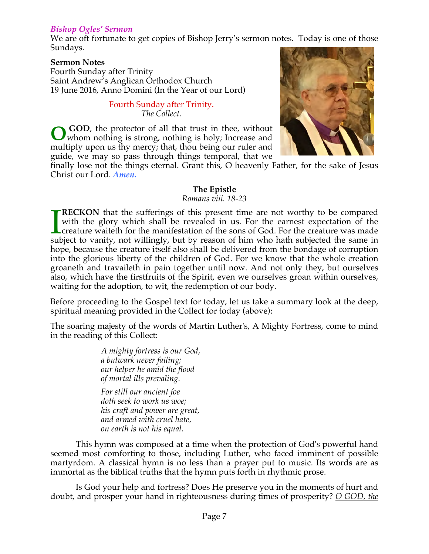### *Bishop Ogles' Sermon*

We are oft fortunate to get copies of Bishop Jerry's sermon notes. Today is one of those Sundays.

#### **Sermon Notes**

Fourth Sunday after Trinity Saint Andrew's Anglican Orthodox Church 19 June 2016, Anno Domini (In the Year of our Lord)

#### Fourth Sunday after Trinity. *The Collect.*

 **GOD**, the protector of all that trust in thee, without whom nothing is strong, nothing is holy; Increase and multiply upon us thy mercy; that, thou being our ruler and guide, we may so pass through things temporal, that we **O**



finally lose not the things eternal. Grant this, O heavenly Father, for the sake of Jesus Christ our Lord. *Amen.*

### **The Epistle**

*Romans viii. 18-23*

**RECKON** that the sufferings of this present time are not worthy to be compared with the glory which shall be revealed in us. For the earnest expectation of the creature waiteth for the manifestation of the sons of God. For the creature was made **TRECKON** that the sufferings of this present time are not worthy to be compared with the glory which shall be revealed in us. For the earnest expectation of the creature waiteth for the manifestation of the sons of God. F hope, because the creature itself also shall be delivered from the bondage of corruption into the glorious liberty of the children of God. For we know that the whole creation groaneth and travaileth in pain together until now. And not only they, but ourselves also, which have the firstfruits of the Spirit, even we ourselves groan within ourselves, waiting for the adoption, to wit, the redemption of our body.

Before proceeding to the Gospel text for today, let us take a summary look at the deep, spiritual meaning provided in the Collect for today (above):

The soaring majesty of the words of Martin Luther's, A Mighty Fortress, come to mind in the reading of this Collect:

> *A mighty fortress is our God, a bulwark never failing; our helper he amid the flood of mortal ills prevaling.*

*For still our ancient foe doth seek to work us woe; his craft and power are great, and armed with cruel hate, on earth is not his equal.*

 This hymn was composed at a time when the protection of God's powerful hand seemed most comforting to those, including Luther, who faced imminent of possible martyrdom. A classical hymn is no less than a prayer put to music. Its words are as immortal as the biblical truths that the hymn puts forth in rhythmic prose.

 Is God your help and fortress? Does He preserve you in the moments of hurt and doubt, and prosper your hand in righteousness during times of prosperity? *O GOD, the*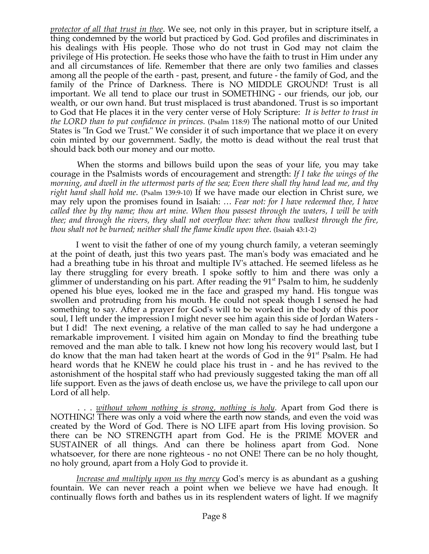*protector of all that trust in thee*. We see, not only in this prayer, but in scripture itself, a thing condemned by the world but practiced by God. God profiles and discriminates in his dealings with His people. Those who do not trust in God may not claim the privilege of His protection. He seeks those who have the faith to trust in Him under any and all circumstances of life. Remember that there are only two families and classes among all the people of the earth - past, present, and future - the family of God, and the family of the Prince of Darkness. There is NO MIDDLE GROUND! Trust is all important. We all tend to place our trust in SOMETHING - our friends, our job, our wealth, or our own hand. But trust misplaced is trust abandoned. Trust is so important to God that He places it in the very center verse of Holy Scripture: *It is better to trust in the LORD than to put confidence in princes.* (Psalm 118:9) The national motto of our United States is "In God we Trust." We consider it of such importance that we place it on every coin minted by our government. Sadly, the motto is dead without the real trust that should back both our money and our motto.

 When the storms and billows build upon the seas of your life, you may take courage in the Psalmists words of encouragement and strength: *If I take the wings of the morning, and dwell in the uttermost parts of the sea; Even there shall thy hand lead me, and thy right hand shall hold me*. (Psalm 139:9-10) If we have made our election in Christ sure, we may rely upon the promises found in Isaiah: … *Fear not: for I have redeemed thee, I have called thee by thy name; thou art mine. When thou passest through the waters, I will be with thee; and through the rivers, they shall not overflow thee: when thou walkest through the fire, thou shalt not be burned; neither shall the flame kindle upon thee*. (Isaiah 43:1-2)

 I went to visit the father of one of my young church family, a veteran seemingly at the point of death, just this two years past. The man's body was emaciated and he had a breathing tube in his throat and multiple IV's attached. He seemed lifeless as he lay there struggling for every breath. I spoke softly to him and there was only a glimmer of understanding on his part. After reading the  $91<sup>st</sup>$  Psalm to him, he suddenly opened his blue eyes, looked me in the face and grasped my hand. His tongue was swollen and protruding from his mouth. He could not speak though I sensed he had something to say. After a prayer for God's will to be worked in the body of this poor soul, I left under the impression I might never see him again this side of Jordan Waters but I did! The next evening, a relative of the man called to say he had undergone a remarkable improvement. I visited him again on Monday to find the breathing tube removed and the man able to talk. I knew not how long his recovery would last, but I do know that the man had taken heart at the words of God in the 91<sup>st</sup> Psalm. He had heard words that he KNEW he could place his trust in - and he has revived to the astonishment of the hospital staff who had previously suggested taking the man off all life support. Even as the jaws of death enclose us, we have the privilege to call upon our Lord of all help.

 . . . *without whom nothing is strong, nothing is holy*. Apart from God there is NOTHING! There was only a void where the earth now stands, and even the void was created by the Word of God. There is NO LIFE apart from His loving provision. So there can be NO STRENGTH apart from God. He is the PRIME MOVER and SUSTAINER of all things. And can there be holiness apart from God. None whatsoever, for there are none righteous - no not ONE! There can be no holy thought, no holy ground, apart from a Holy God to provide it.

 *Increase and multiply upon us thy mercy* God's mercy is as abundant as a gushing fountain. We can never reach a point when we believe we have had enough. It continually flows forth and bathes us in its resplendent waters of light. If we magnify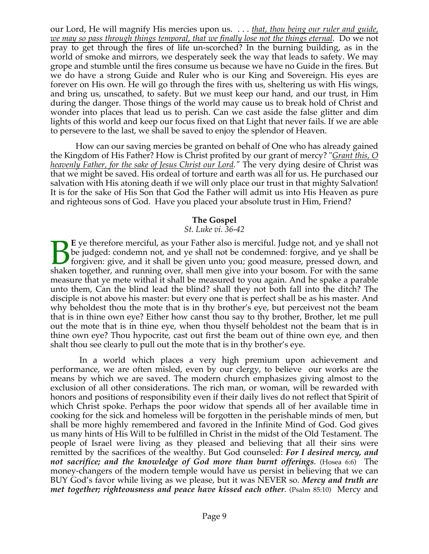our Lord, He will magnify His mercies upon us. . . . *that, thou being our ruler and guide, we may so pass through things temporal, that we finally lose not the things eternal*. Do we not pray to get through the fires of life un-scorched? In the burning building, as in the world of smoke and mirrors, we desperately seek the way that leads to safety. We may grope and stumble until the fires consume us because we have no Guide in the fires. But we do have a strong Guide and Ruler who is our King and Sovereign. His eyes are forever on His own. He will go through the fires with us, sheltering us with His wings, and bring us, unscathed, to safety. But we must keep our hand, and our trust, in Him during the danger. Those things of the world may cause us to break hold of Christ and wonder into places that lead us to perish. Can we cast aside the false glitter and dim lights of this world and keep our focus fixed on that Light that never fails. If we are able to persevere to the last, we shall be saved to enjoy the splendor of Heaven.

 How can our saving mercies be granted on behalf of One who has already gained the Kingdom of His Father? How is Christ profited by our grant of mercy? "*Grant this, O heavenly Father, for the sake of Jesus Christ our Lord."* The very dying desire of Christ was that we might be saved. His ordeal of torture and earth was all for us. He purchased our salvation with His atoning death if we will only place our trust in that mighty Salvation! It is for the sake of His Son that God the Father will admit us into His Heaven as pure and righteous sons of God. Have you placed your absolute trust in Him, Friend?

#### **The Gospel**

#### *St. Luke vi. 36-42*

**E** ye therefore merciful, as your Father also is merciful. Judge not, and ye shall not be judged: condemn not, and ye shall not be condemned: forgive, and ye shall be forgiven: give, and it shall be given unto you; good measure, pressed down, and E ye therefore merciful, as your Father also is merciful. Judge not, and ye shall not be judged: condemn not, and ye shall not be condemned: forgive, and ye shall be forgiven: give, and it shall be given unto you; good mea measure that ye mete withal it shall be measured to you again. And he spake a parable unto them, Can the blind lead the blind? shall they not both fall into the ditch? The disciple is not above his master: but every one that is perfect shall be as his master. And why beholdest thou the mote that is in thy brother's eye, but perceivest not the beam that is in thine own eye? Either how canst thou say to thy brother, Brother, let me pull out the mote that is in thine eye, when thou thyself beholdest not the beam that is in thine own eye? Thou hypocrite, cast out first the beam out of thine own eye, and then shalt thou see clearly to pull out the mote that is in thy brother's eye.

 In a world which places a very high premium upon achievement and performance, we are often misled, even by our clergy, to believe our works are the means by which we are saved. The modern church emphasizes giving almost to the exclusion of all other considerations. The rich man, or woman, will be rewarded with honors and positions of responsibility even if their daily lives do not reflect that Spirit of which Christ spoke. Perhaps the poor widow that spends all of her available time in cooking for the sick and homeless will be forgotten in the perishable minds of men, but shall be more highly remembered and favored in the Infinite Mind of God. God gives us many hints of His Will to be fulfilled in Christ in the midst of the Old Testament. The people of Israel were living as they pleased and believing that all their sins were remitted by the sacrifices of the wealthy. But God counseled: *For I desired mercy, and not sacrifice; and the knowledge of God more than burnt offerings*. (Hosea 6:6) The money-changers of the modern temple would have us persist in believing that we can BUY God's favor while living as we please, but it was NEVER so. *Mercy and truth are met together; righteousness and peace have kissed each other.* (Psalm 85:10) Mercy and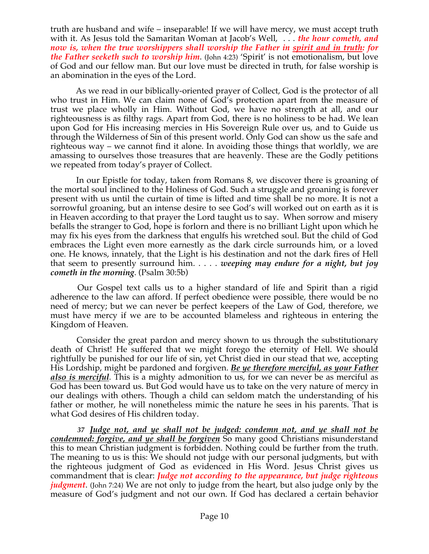truth are husband and wife – inseparable! If we will have mercy, we must accept truth with it. As Jesus told the Samaritan Woman at Jacob's Well, . . . *the hour cometh, and now is, when the true worshippers shall worship the Father in spirit and in truth: for the Father seeketh such to worship him*. (John 4:23) 'Spirit' is not emotionalism, but love of God and our fellow man. But our love must be directed in truth, for false worship is an abomination in the eyes of the Lord.

 As we read in our biblically-oriented prayer of Collect, God is the protector of all who trust in Him. We can claim none of God's protection apart from the measure of trust we place wholly in Him. Without God, we have no strength at all, and our righteousness is as filthy rags. Apart from God, there is no holiness to be had. We lean upon God for His increasing mercies in His Sovereign Rule over us, and to Guide us through the Wilderness of Sin of this present world. Only God can show us the safe and righteous way – we cannot find it alone. In avoiding those things that worldly, we are amassing to ourselves those treasures that are heavenly. These are the Godly petitions we repeated from today's prayer of Collect.

 In our Epistle for today, taken from Romans 8, we discover there is groaning of the mortal soul inclined to the Holiness of God. Such a struggle and groaning is forever present with us until the curtain of time is lifted and time shall be no more. It is not a sorrowful groaning, but an intense desire to see God's will worked out on earth as it is in Heaven according to that prayer the Lord taught us to say. When sorrow and misery befalls the stranger to God, hope is forlorn and there is no brilliant Light upon which he may fix his eyes from the darkness that engulfs his wretched soul. But the child of God embraces the Light even more earnestly as the dark circle surrounds him, or a loved one. He knows, innately, that the Light is his destination and not the dark fires of Hell that seem to presently surround him. . . . . *weeping may endure for a night, but joy cometh in the morning*. (Psalm 30:5b)

 Our Gospel text calls us to a higher standard of life and Spirit than a rigid adherence to the law can afford. If perfect obedience were possible, there would be no need of mercy; but we can never be perfect keepers of the Law of God, therefore, we must have mercy if we are to be accounted blameless and righteous in entering the Kingdom of Heaven.

 Consider the great pardon and mercy shown to us through the substitutionary death of Christ! He suffered that we might forego the eternity of Hell. We should rightfully be punished for our life of sin, yet Christ died in our stead that we, accepting His Lordship, might be pardoned and forgiven. *Be ye therefore merciful, as your Father also is merciful.* This is a mighty admonition to us, for we can never be as merciful as God has been toward us. But God would have us to take on the very nature of mercy in our dealings with others. Though a child can seldom match the understanding of his father or mother, he will nonetheless mimic the nature he sees in his parents. That is what God desires of His children today.

 *37 Judge not, and ye shall not be judged: condemn not, and ye shall not be condemned: forgive, and ye shall be forgiven* So many good Christians misunderstand this to mean Christian judgment is forbidden. Nothing could be further from the truth. The meaning to us is this: We should not judge with our personal judgments, but with the righteous judgment of God as evidenced in His Word. Jesus Christ gives us commandment that is clear: *Judge not according to the appearance, but judge righteous judgment*. (John 7:24) We are not only to judge from the heart, but also judge only by the measure of God's judgment and not our own. If God has declared a certain behavior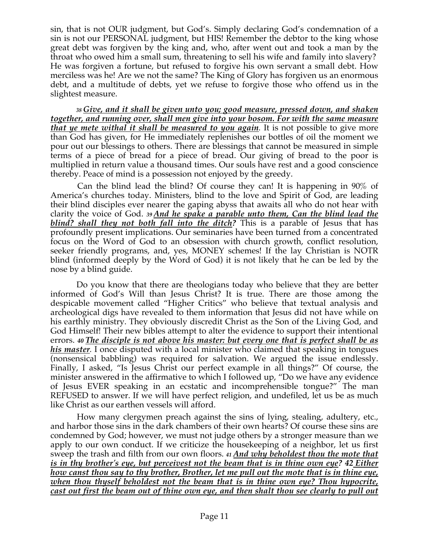sin, that is not OUR judgment, but God's. Simply declaring God's condemnation of a sin is not our PERSONAL judgment, but HIS! Remember the debtor to the king whose great debt was forgiven by the king and, who, after went out and took a man by the throat who owed him a small sum, threatening to sell his wife and family into slavery? He was forgiven a fortune, but refused to forgive his own servant a small debt. How merciless was he! Are we not the same? The King of Glory has forgiven us an enormous debt, and a multitude of debts, yet we refuse to forgive those who offend us in the slightest measure.

 *<sup>38</sup> Give, and it shall be given unto you; good measure, pressed down, and shaken together, and running over, shall men give into your bosom. For with the same measure that ye mete withal it shall be measured to you again.* It is not possible to give more than God has given, for He immediately replenishes our bottles of oil the moment we pour out our blessings to others. There are blessings that cannot be measured in simple terms of a piece of bread for a piece of bread. Our giving of bread to the poor is multiplied in return value a thousand times. Our souls have rest and a good conscience thereby. Peace of mind is a possession not enjoyed by the greedy.

 Can the blind lead the blind? Of course they can! It is happening in 90% of America's churches today. Ministers, blind to the love and Spirit of God, are leading their blind disciples ever nearer the gaping abyss that awaits all who do not hear with clarity the voice of God. *<sup>39</sup> And he spake a parable unto them, Can the blind lead the blind? shall they not both fall into the ditch?* This is a parable of Jesus that has profoundly present implications. Our seminaries have been turned from a concentrated focus on the Word of God to an obsession with church growth, conflict resolution, seeker friendly programs, and, yes, MONEY schemes! If the lay Christian is NOTR blind (informed deeply by the Word of God) it is not likely that he can be led by the nose by a blind guide.

 Do you know that there are theologians today who believe that they are better informed of God's Will than Jesus Christ? It is true. There are those among the despicable movement called "Higher Critics" who believe that textual analysis and archeological digs have revealed to them information that Jesus did not have while on his earthly ministry. They obviously discredit Christ as the Son of the Living God, and God Himself! Their new bibles attempt to alter the evidence to support their intentional errors. *40 The disciple is not above his master: but every one that is perfect shall be as his master.* I once disputed with a local minister who claimed that speaking in tongues (nonsensical babbling) was required for salvation. We argued the issue endlessly. Finally, I asked, "Is Jesus Christ our perfect example in all things?" Of course, the minister answered in the affirmative to which I followed up, "Do we have any evidence of Jesus EVER speaking in an ecstatic and incomprehensible tongue?" The man REFUSED to answer. If we will have perfect religion, and undefiled, let us be as much like Christ as our earthen vessels will afford.

 How many clergymen preach against the sins of lying, stealing, adultery, etc., and harbor those sins in the dark chambers of their own hearts? Of course these sins are condemned by God; however, we must not judge others by a stronger measure than we apply to our own conduct. If we criticize the housekeeping of a neighbor, let us first sweep the trash and filth from our own floors. *<sup>41</sup> And why beholdest thou the mote that is in thy brother's eye, but perceivest not the beam that is in thine own eye? 42 Either how canst thou say to thy brother, Brother, let me pull out the mote that is in thine eye, when thou thyself beholdest not the beam that is in thine own eye? Thou hypocrite, cast out first the beam out of thine own eye, and then shalt thou see clearly to pull out*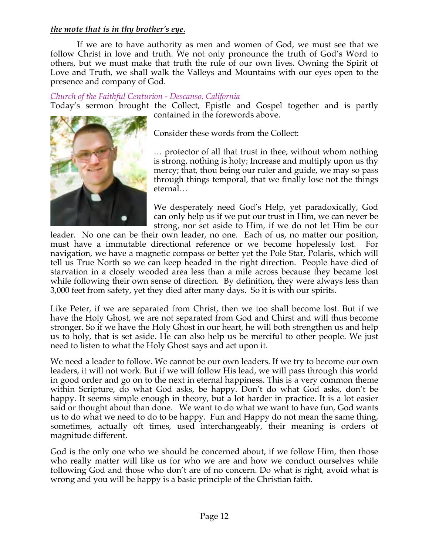### *the mote that is in thy brother's eye*.

 If we are to have authority as men and women of God, we must see that we follow Christ in love and truth. We not only pronounce the truth of God's Word to others, but we must make that truth the rule of our own lives. Owning the Spirit of Love and Truth, we shall walk the Valleys and Mountains with our eyes open to the presence and company of God.

### *Church of the Faithful Centurion - Descanso, California*

Today's sermon brought the Collect, Epistle and Gospel together and is partly contained in the forewords above.



Consider these words from the Collect:

… protector of all that trust in thee, without whom nothing is strong, nothing is holy; Increase and multiply upon us thy mercy; that, thou being our ruler and guide, we may so pass through things temporal, that we finally lose not the things eternal…

We desperately need God's Help, yet paradoxically, God can only help us if we put our trust in Him, we can never be strong, nor set aside to Him, if we do not let Him be our

leader. No one can be their own leader, no one. Each of us, no matter our position, must have a immutable directional reference or we become hopelessly lost. For navigation, we have a magnetic compass or better yet the Pole Star, Polaris, which will tell us True North so we can keep headed in the right direction. People have died of starvation in a closely wooded area less than a mile across because they became lost while following their own sense of direction. By definition, they were always less than 3,000 feet from safety, yet they died after many days. So it is with our spirits.

Like Peter, if we are separated from Christ, then we too shall become lost. But if we have the Holy Ghost, we are not separated from God and Chirst and will thus become stronger. So if we have the Holy Ghost in our heart, he will both strengthen us and help us to holy, that is set aside. He can also help us be merciful to other people. We just need to listen to what the Holy Ghost says and act upon it.

We need a leader to follow. We cannot be our own leaders. If we try to become our own leaders, it will not work. But if we will follow His lead, we will pass through this world in good order and go on to the next in eternal happiness. This is a very common theme within Scripture, do what God asks, be happy. Don't do what God asks, don't be happy. It seems simple enough in theory, but a lot harder in practice. It is a lot easier said or thought about than done. We want to do what we want to have fun, God wants us to do what we need to do to be happy. Fun and Happy do not mean the same thing, sometimes, actually oft times, used interchangeably, their meaning is orders of magnitude different.

God is the only one who we should be concerned about, if we follow Him, then those who really matter will like us for who we are and how we conduct ourselves while following God and those who don't are of no concern. Do what is right, avoid what is wrong and you will be happy is a basic principle of the Christian faith.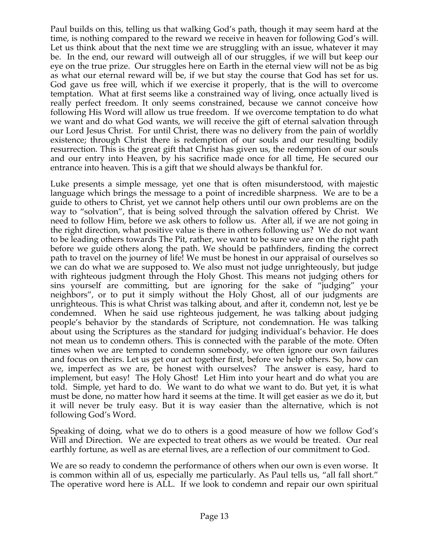Paul builds on this, telling us that walking God's path, though it may seem hard at the time, is nothing compared to the reward we receive in heaven for following God's will. Let us think about that the next time we are struggling with an issue, whatever it may be. In the end, our reward will outweigh all of our struggles, if we will but keep our eye on the true prize. Our struggles here on Earth in the eternal view will not be as big as what our eternal reward will be, if we but stay the course that God has set for us. God gave us free will, which if we exercise it properly, that is the will to overcome temptation. What at first seems like a constrained way of living, once actually lived is really perfect freedom. It only seems constrained, because we cannot conceive how following His Word will allow us true freedom. If we overcome temptation to do what we want and do what God wants, we will receive the gift of eternal salvation through our Lord Jesus Christ. For until Christ, there was no delivery from the pain of worldly existence; through Christ there is redemption of our souls and our resulting bodily resurrection. This is the great gift that Christ has given us, the redemption of our souls and our entry into Heaven, by his sacrifice made once for all time, He secured our entrance into heaven. This is a gift that we should always be thankful for.

Luke presents a simple message, yet one that is often misunderstood, with majestic language which brings the message to a point of incredible sharpness. We are to be a guide to others to Christ, yet we cannot help others until our own problems are on the way to "solvation", that is being solved through the salvation offered by Christ. We need to follow Him, before we ask others to follow us. After all, if we are not going in the right direction, what positive value is there in others following us? We do not want to be leading others towards The Pit, rather, we want to be sure we are on the right path before we guide others along the path. We should be pathfinders, finding the correct path to travel on the journey of life! We must be honest in our appraisal of ourselves so we can do what we are supposed to. We also must not judge unrighteously, but judge with righteous judgment through the Holy Ghost. This means not judging others for sins yourself are committing, but are ignoring for the sake of "judging" your neighbors", or to put it simply without the Holy Ghost, all of our judgments are unrighteous. This is what Christ was talking about, and after it, condemn not, lest ye be condemned. When he said use righteous judgement, he was talking about judging people's behavior by the standards of Scripture, not condemnation. He was talking about using the Scriptures as the standard for judging individual's behavior. He does not mean us to condemn others. This is connected with the parable of the mote. Often times when we are tempted to condemn somebody, we often ignore our own failures and focus on theirs. Let us get our act together first, before we help others. So, how can we, imperfect as we are, be honest with ourselves? The answer is easy, hard to implement, but easy! The Holy Ghost! Let Him into your heart and do what you are told. Simple, yet hard to do. We want to do what we want to do. But yet, it is what must be done, no matter how hard it seems at the time. It will get easier as we do it, but it will never be truly easy. But it is way easier than the alternative, which is not following God's Word.

Speaking of doing, what we do to others is a good measure of how we follow God's Will and Direction. We are expected to treat others as we would be treated. Our real earthly fortune, as well as are eternal lives, are a reflection of our commitment to God.

We are so ready to condemn the performance of others when our own is even worse. It is common within all of us, especially me particularly. As Paul tells us, "all fall short." The operative word here is ALL. If we look to condemn and repair our own spiritual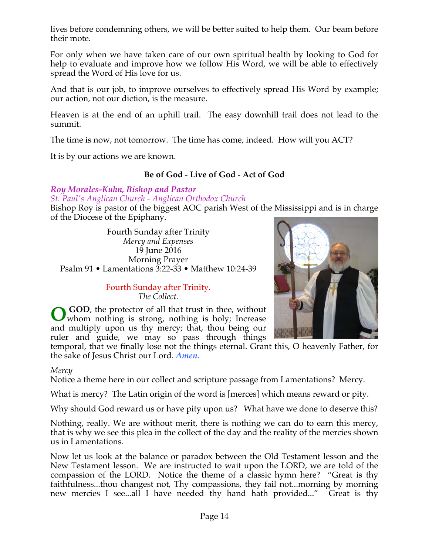lives before condemning others, we will be better suited to help them. Our beam before their mote.

For only when we have taken care of our own spiritual health by looking to God for help to evaluate and improve how we follow His Word, we will be able to effectively spread the Word of His love for us.

And that is our job, to improve ourselves to effectively spread His Word by example; our action, not our diction, is the measure.

Heaven is at the end of an uphill trail. The easy downhill trail does not lead to the summit.

The time is now, not tomorrow. The time has come, indeed. How will you ACT?

It is by our actions we are known.

# **Be of God - Live of God - Act of God**

### *Roy Morales-Kuhn, Bishop and Pastor*

*St. Paul's Anglican Church - Anglican Orthodox Church*

Bishop Roy is pastor of the biggest AOC parish West of the Mississippi and is in charge of the Diocese of the Epiphany.

Fourth Sunday after Trinity *Mercy and Expenses* 19 June 2016 Morning Prayer Psalm 91 • Lamentations 3:22-33 • Matthew 10:24-39

> Fourth Sunday after Trinity. *The Collect.*

 **GOD**, the protector of all that trust in thee, without whom nothing is strong, nothing is holy; Increase **O**and multiply upon us thy mercy; that, thou being our ruler and guide, we may so pass through things

temporal, that we finally lose not the things eternal. Grant this, O heavenly Father, for the sake of Jesus Christ our Lord. *Amen.*

#### *Mercy*

Notice a theme here in our collect and scripture passage from Lamentations? Mercy.

What is mercy? The Latin origin of the word is [merces] which means reward or pity.

Why should God reward us or have pity upon us? What have we done to deserve this?

Nothing, really. We are without merit, there is nothing we can do to earn this mercy, that is why we see this plea in the collect of the day and the reality of the mercies shown us in Lamentations.

Now let us look at the balance or paradox between the Old Testament lesson and the New Testament lesson. We are instructed to wait upon the LORD, we are told of the compassion of the LORD. Notice the theme of a classic hymn here? "Great is thy faithfulness...thou changest not, Thy compassions, they fail not...morning by morning new mercies I see...all I have needed thy hand hath provided..." Great is thy

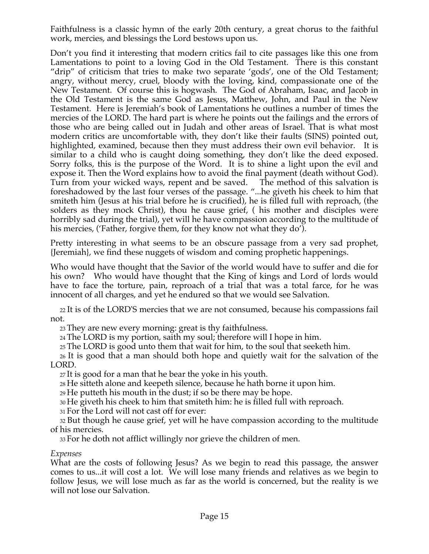Faithfulness is a classic hymn of the early 20th century, a great chorus to the faithful work, mercies, and blessings the Lord bestows upon us.

Don't you find it interesting that modern critics fail to cite passages like this one from Lamentations to point to a loving God in the Old Testament. There is this constant "drip" of criticism that tries to make two separate 'gods', one of the Old Testament; angry, without mercy, cruel, bloody with the loving, kind, compassionate one of the New Testament. Of course this is hogwash. The God of Abraham, Isaac, and Jacob in the Old Testament is the same God as Jesus, Matthew, John, and Paul in the New Testament. Here is Jeremiah's book of Lamentations he outlines a number of times the mercies of the LORD. The hard part is where he points out the failings and the errors of those who are being called out in Judah and other areas of Israel. That is what most modern critics are uncomfortable with, they don't like their faults (SINS) pointed out, highlighted, examined, because then they must address their own evil behavior. It is similar to a child who is caught doing something, they don't like the deed exposed. Sorry folks, this is the purpose of the Word. It is to shine a light upon the evil and expose it. Then the Word explains how to avoid the final payment (death without God). Turn from your wicked ways, repent and be saved. The method of this salvation is foreshadowed by the last four verses of the passage. "...he giveth his cheek to him that smiteth him (Jesus at his trial before he is crucified), he is filled full with reproach, (the solders as they mock Christ), thou he cause grief, ( his mother and disciples were horribly sad during the trial), yet will he have compassion according to the multitude of his mercies, ('Father, forgive them, for they know not what they do').

Pretty interesting in what seems to be an obscure passage from a very sad prophet, {Jeremiah}, we find these nuggets of wisdom and coming prophetic happenings.

Who would have thought that the Savior of the world would have to suffer and die for his own? Who would have thought that the King of kings and Lord of lords would have to face the torture, pain, reproach of a trial that was a total farce, for he was innocent of all charges, and yet he endured so that we would see Salvation.

22 It is of the LORD'S mercies that we are not consumed, because his compassions fail not.

23 They are new every morning: great is thy faithfulness.

24 The LORD is my portion, saith my soul; therefore will I hope in him.

25 The LORD is good unto them that wait for him, to the soul that seeketh him.

26 It is good that a man should both hope and quietly wait for the salvation of the LORD.

27 It is good for a man that he bear the yoke in his youth.

28 He sitteth alone and keepeth silence, because he hath borne it upon him.

<sup>29</sup> He putteth his mouth in the dust; if so be there may be hope.

30 He giveth his cheek to him that smiteth him: he is filled full with reproach.

31 For the Lord will not cast off for ever:

32 But though he cause grief, yet will he have compassion according to the multitude of his mercies.

33 For he doth not afflict willingly nor grieve the children of men.

#### *Expenses*

What are the costs of following Jesus? As we begin to read this passage, the answer comes to us...it will cost a lot. We will lose many friends and relatives as we begin to follow Jesus, we will lose much as far as the world is concerned, but the reality is we will not lose our Salvation.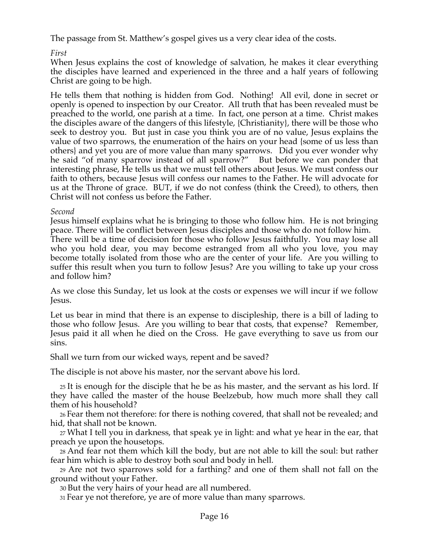The passage from St. Matthew's gospel gives us a very clear idea of the costs.

*First*

When Jesus explains the cost of knowledge of salvation, he makes it clear everything the disciples have learned and experienced in the three and a half years of following Christ are going to be high.

He tells them that nothing is hidden from God. Nothing! All evil, done in secret or openly is opened to inspection by our Creator. All truth that has been revealed must be preached to the world, one parish at a time. In fact, one person at a time. Christ makes the disciples aware of the dangers of this lifestyle, {Christianity}, there will be those who seek to destroy you. But just in case you think you are of no value, Jesus explains the value of two sparrows, the enumeration of the hairs on your head {some of us less than others} and yet you are of more value than many sparrows. Did you ever wonder why he said "of many sparrow instead of all sparrow?" But before we can ponder that interesting phrase, He tells us that we must tell others about Jesus. We must confess our faith to others, because Jesus will confess our names to the Father. He will advocate for us at the Throne of grace. BUT, if we do not confess (think the Creed), to others, then Christ will not confess us before the Father.

#### *Second*

Jesus himself explains what he is bringing to those who follow him. He is not bringing peace. There will be conflict between Jesus disciples and those who do not follow him. There will be a time of decision for those who follow Jesus faithfully. You may lose all who you hold dear, you may become estranged from all who you love, you may become totally isolated from those who are the center of your life. Are you willing to suffer this result when you turn to follow Jesus? Are you willing to take up your cross and follow him?

As we close this Sunday, let us look at the costs or expenses we will incur if we follow Jesus.

Let us bear in mind that there is an expense to discipleship, there is a bill of lading to those who follow Jesus. Are you willing to bear that costs, that expense? Remember, Jesus paid it all when he died on the Cross. He gave everything to save us from our sins.

Shall we turn from our wicked ways, repent and be saved?

The disciple is not above his master, nor the servant above his lord.

25 It is enough for the disciple that he be as his master, and the servant as his lord. If they have called the master of the house Beelzebub, how much more shall they call them of his household?

26 Fear them not therefore: for there is nothing covered, that shall not be revealed; and hid, that shall not be known.

27 What I tell you in darkness, that speak ye in light: and what ye hear in the ear, that preach ye upon the housetops.

28 And fear not them which kill the body, but are not able to kill the soul: but rather fear him which is able to destroy both soul and body in hell.

29 Are not two sparrows sold for a farthing? and one of them shall not fall on the ground without your Father.

30 But the very hairs of your head are all numbered.

31 Fear ye not therefore, ye are of more value than many sparrows.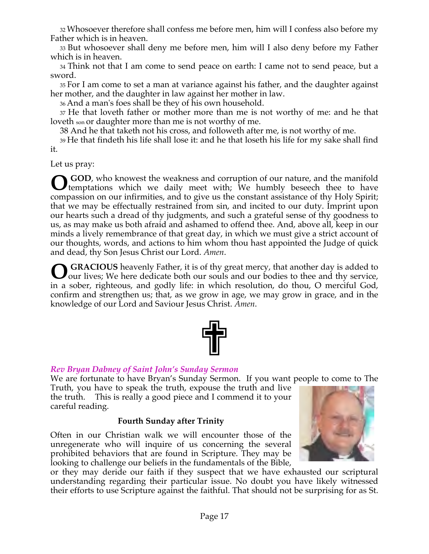32 Whosoever therefore shall confess me before men, him will I confess also before my Father which is in heaven.

33 But whosoever shall deny me before men, him will I also deny before my Father which is in heaven.

34 Think not that I am come to send peace on earth: I came not to send peace, but a sword.

35 For I am come to set a man at variance against his father, and the daughter against her mother, and the daughter in law against her mother in law.

36 And a man's foes shall be they of his own household.

37 He that loveth father or mother more than me is not worthy of me: and he that loveth son or daughter more than me is not worthy of me.

38 And he that taketh not his cross, and followeth after me, is not worthy of me.

39 He that findeth his life shall lose it: and he that loseth his life for my sake shall find it.

Let us pray:

 **GOD**, who knowest the weakness and corruption of our nature, and the manifold **O** GOD, who knowest the weakness and corruption of our nature, and the manifold temptations which we daily meet with; We humbly beseech thee to have compassion on our infirmities, and to give us the constant assistance of thy Holy Spirit; that we may be effectually restrained from sin, and incited to our duty. Imprint upon our hearts such a dread of thy judgments, and such a grateful sense of thy goodness to us, as may make us both afraid and ashamed to offend thee. And, above all, keep in our minds a lively remembrance of that great day, in which we must give a strict account of our thoughts, words, and actions to him whom thou hast appointed the Judge of quick and dead, thy Son Jesus Christ our Lord. *Amen*.

 **GRACIOUS** heavenly Father, it is of thy great mercy, that another day is added to our lives; We here dedicate both our souls and our bodies to thee and thy service, in a sober, righteous, and godly life: in which resolution, do thou, O merciful God, confirm and strengthen us; that, as we grow in age, we may grow in grace, and in the knowledge of our Lord and Saviour Jesus Christ. *Amen*. **O**

| ٦Ĺ<br>I<br>I<br>$\blacksquare$ |  |
|--------------------------------|--|
|                                |  |

# *Rev Bryan Dabney of Saint John's Sunday Sermon*

We are fortunate to have Bryan's Sunday Sermon. If you want people to come to The

Truth, you have to speak the truth, expouse the truth and live the truth. This is really a good piece and I commend it to your careful reading.

# **Fourth Sunday after Trinity**

Often in our Christian walk we will encounter those of the unregenerate who will inquire of us concerning the several prohibited behaviors that are found in Scripture. They may be looking to challenge our beliefs in the fundamentals of the Bible,



or they may deride our faith if they suspect that we have exhausted our scriptural understanding regarding their particular issue. No doubt you have likely witnessed their efforts to use Scripture against the faithful. That should not be surprising for as St.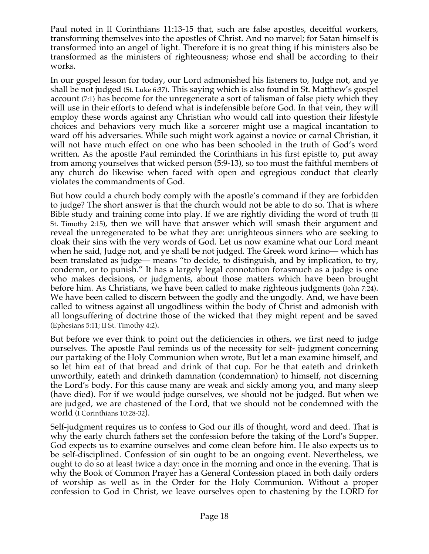Paul noted in II Corinthians 11:13-15 that, such are false apostles, deceitful workers, transforming themselves into the apostles of Christ. And no marvel; for Satan himself is transformed into an angel of light. Therefore it is no great thing if his ministers also be transformed as the ministers of righteousness; whose end shall be according to their works.

In our gospel lesson for today, our Lord admonished his listeners to, Judge not, and ye shall be not judged (St. Luke 6:37). This saying which is also found in St. Matthew's gospel account (7:1) has become for the unregenerate a sort of talisman of false piety which they will use in their efforts to defend what is indefensible before God. In that vein, they will employ these words against any Christian who would call into question their lifestyle choices and behaviors very much like a sorcerer might use a magical incantation to ward off his adversaries. While such might work against a novice or carnal Christian, it will not have much effect on one who has been schooled in the truth of God's word written. As the apostle Paul reminded the Corinthians in his first epistle to, put away from among yourselves that wicked person (5:9-13), so too must the faithful members of any church do likewise when faced with open and egregious conduct that clearly violates the commandments of God.

But how could a church body comply with the apostle's command if they are forbidden to judge? The short answer is that the church would not be able to do so. That is where Bible study and training come into play. If we are rightly dividing the word of truth (II St. Timothy 2:15), then we will have that answer which will smash their argument and reveal the unregenerated to be what they are: unrighteous sinners who are seeking to cloak their sins with the very words of God. Let us now examine what our Lord meant when he said, Judge not, and ye shall be not judged. The Greek word krino— which has been translated as judge— means "to decide, to distinguish, and by implication, to try, condemn, or to punish." It has a largely legal connotation forasmuch as a judge is one who makes decisions, or judgments, about those matters which have been brought before him. As Christians, we have been called to make righteous judgments (John 7:24). We have been called to discern between the godly and the ungodly. And, we have been called to witness against all ungodliness within the body of Christ and admonish with all longsuffering of doctrine those of the wicked that they might repent and be saved (Ephesians 5:11; II St. Timothy 4:2).

But before we ever think to point out the deficiencies in others, we first need to judge ourselves. The apostle Paul reminds us of the necessity for self- judgment concerning our partaking of the Holy Communion when wrote, But let a man examine himself, and so let him eat of that bread and drink of that cup. For he that eateth and drinketh unworthily, eateth and drinketh damnation (condemnation) to himself, not discerning the Lord's body. For this cause many are weak and sickly among you, and many sleep (have died). For if we would judge ourselves, we should not be judged. But when we are judged, we are chastened of the Lord, that we should not be condemned with the world (I Corinthians 10:28-32).

Self-judgment requires us to confess to God our ills of thought, word and deed. That is why the early church fathers set the confession before the taking of the Lord's Supper. God expects us to examine ourselves and come clean before him. He also expects us to be self-disciplined. Confession of sin ought to be an ongoing event. Nevertheless, we ought to do so at least twice a day: once in the morning and once in the evening. That is why the Book of Common Prayer has a General Confession placed in both daily orders of worship as well as in the Order for the Holy Communion. Without a proper confession to God in Christ, we leave ourselves open to chastening by the LORD for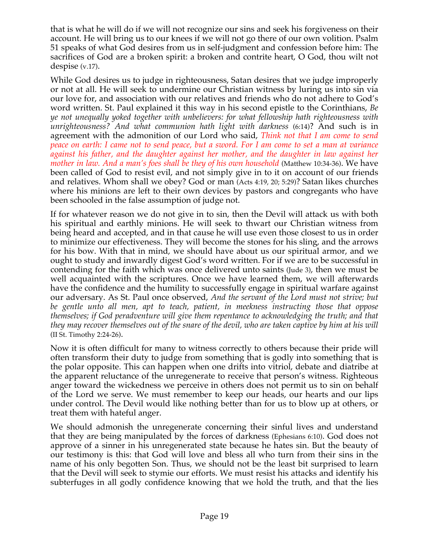that is what he will do if we will not recognize our sins and seek his forgiveness on their account. He will bring us to our knees if we will not go there of our own volition. Psalm 51 speaks of what God desires from us in self-judgment and confession before him: The sacrifices of God are a broken spirit: a broken and contrite heart, O God, thou wilt not despise (v.17).

While God desires us to judge in righteousness, Satan desires that we judge improperly or not at all. He will seek to undermine our Christian witness by luring us into sin via our love for, and association with our relatives and friends who do not adhere to God's word written. St. Paul explained it this way in his second epistle to the Corinthians, *Be ye not unequally yoked together with unbelievers: for what fellowship hath righteousness with unrighteousness? And what communion hath light with darkness* (6:14)? And such is in agreement with the admonition of our Lord who said, *Think not that I am come to send peace on earth: I came not to send peace, but a sword. For I am come to set a man at variance against his father, and the daughter against her mother, and the daughter in law against her mother in law. And a man's foes shall be they of his own household* (Matthew 10:34-36). We have been called of God to resist evil, and not simply give in to it on account of our friends and relatives. Whom shall we obey? God or man (Acts 4:19, 20; 5:29)? Satan likes churches where his minions are left to their own devices by pastors and congregants who have been schooled in the false assumption of judge not.

If for whatever reason we do not give in to sin, then the Devil will attack us with both his spiritual and earthly minions. He will seek to thwart our Christian witness from being heard and accepted, and in that cause he will use even those closest to us in order to minimize our effectiveness. They will become the stones for his sling, and the arrows for his bow. With that in mind, we should have about us our spiritual armor, and we ought to study and inwardly digest God's word written. For if we are to be successful in contending for the faith which was once delivered unto saints (Jude 3), then we must be well acquainted with the scriptures. Once we have learned them, we will afterwards have the confidence and the humility to successfully engage in spiritual warfare against our adversary. As St. Paul once observed, *And the servant of the Lord must not strive; but be gentle unto all men, apt to teach, patient, in meekness instructing those that oppose themselves; if God peradventure will give them repentance to acknowledging the truth; and that they may recover themselves out of the snare of the devil, who are taken captive by him at his will* (II St. Timothy 2:24-26).

Now it is often difficult for many to witness correctly to others because their pride will often transform their duty to judge from something that is godly into something that is the polar opposite. This can happen when one drifts into vitriol, debate and diatribe at the apparent reluctance of the unregenerate to receive that person's witness. Righteous anger toward the wickedness we perceive in others does not permit us to sin on behalf of the Lord we serve. We must remember to keep our heads, our hearts and our lips under control. The Devil would like nothing better than for us to blow up at others, or treat them with hateful anger.

We should admonish the unregenerate concerning their sinful lives and understand that they are being manipulated by the forces of darkness (Ephesians 6:10). God does not approve of a sinner in his unregenerated state because he hates sin. But the beauty of our testimony is this: that God will love and bless all who turn from their sins in the name of his only begotten Son. Thus, we should not be the least bit surprised to learn that the Devil will seek to stymie our efforts. We must resist his attacks and identify his subterfuges in all godly confidence knowing that we hold the truth, and that the lies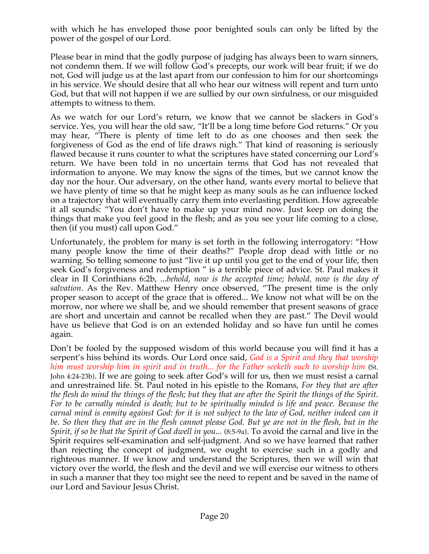with which he has enveloped those poor benighted souls can only be lifted by the power of the gospel of our Lord.

Please bear in mind that the godly purpose of judging has always been to warn sinners, not condemn them. If we will follow God's precepts, our work will bear fruit; if we do not, God will judge us at the last apart from our confession to him for our shortcomings in his service. We should desire that all who hear our witness will repent and turn unto God, but that will not happen if we are sullied by our own sinfulness, or our misguided attempts to witness to them.

As we watch for our Lord's return, we know that we cannot be slackers in God's service. Yes, you will hear the old saw, "It'll be a long time before God returns." Or you may hear, "There is plenty of time left to do as one chooses and then seek the forgiveness of God as the end of life draws nigh." That kind of reasoning is seriously flawed because it runs counter to what the scriptures have stated concerning our Lord's return. We have been told in no uncertain terms that God has not revealed that information to anyone. We may know the signs of the times, but we cannot know the day nor the hour. Our adversary, on the other hand, wants every mortal to believe that we have plenty of time so that he might keep as many souls as he can influence locked on a trajectory that will eventually carry them into everlasting perdition. How agreeable it all sounds: "You don't have to make up your mind now. Just keep on doing the things that make you feel good in the flesh; and as you see your life coming to a close, then (if you must) call upon God."

Unfortunately, the problem for many is set forth in the following interrogatory: "How many people know the time of their deaths?" People drop dead with little or no warning. So telling someone to just "live it up until you get to the end of your life, then seek God's forgiveness and redemption " is a terrible piece of advice. St. Paul makes it clear in II Corinthians 6:2b, ...*behold, now is the accepted time; behold, now is the day of salvation*. As the Rev. Matthew Henry once observed, "The present time is the only proper season to accept of the grace that is offered... We know not what will be on the morrow, nor where we shall be, and we should remember that present seasons of grace are short and uncertain and cannot be recalled when they are past." The Devil would have us believe that God is on an extended holiday and so have fun until he comes again.

Don't be fooled by the supposed wisdom of this world because you will find it has a serpent's hiss behind its words. Our Lord once said, *God is a Spirit and they that worship him must worship him in spirit and in truth... for the Father seeketh such to worship him* (St. John 4:24-23b). If we are going to seek after God's will for us, then we must resist a carnal and unrestrained life. St. Paul noted in his epistle to the Romans, *For they that are after the flesh do mind the things of the flesh; but they that are after the Spirit the things of the Spirit. For to be carnally minded is death; but to be spiritually minded is life and peace. Because the carnal mind is enmity against God: for it is not subject to the law of God, neither indeed can it*  be. So then they that are in the flesh cannot please God. But ye are not in the flesh, but in the *Spirit, if so be that the Spirit of God dwell in you...* (8:5-9a). To avoid the carnal and live in the Spirit requires self-examination and self-judgment. And so we have learned that rather than rejecting the concept of judgment, we ought to exercise such in a godly and righteous manner. If we know and understand the Scriptures, then we will win that victory over the world, the flesh and the devil and we will exercise our witness to others in such a manner that they too might see the need to repent and be saved in the name of our Lord and Saviour Jesus Christ.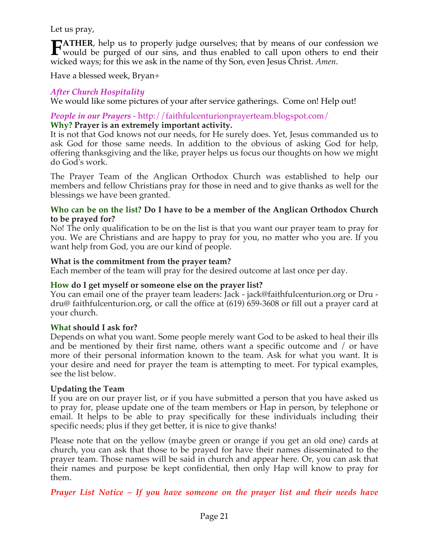Let us pray,

**ATHER**, help us to properly judge ourselves; that by means of our confession we **FATHER**, help us to properly judge ourselves; that by means of our confession we would be purged of our sins, and thus enabled to call upon others to end their wicked ways; for this we ask in the name of thy Son, even Jesus Christ. *Amen*.

Have a blessed week, Bryan+

# *After Church Hospitality*

We would like some pictures of your after service gatherings. Come on! Help out!

# *People in our Prayers* - http://faithfulcenturionprayerteam.blogspot.com/

### **Why? Prayer is an extremely important activity.**

It is not that God knows not our needs, for He surely does. Yet, Jesus commanded us to ask God for those same needs. In addition to the obvious of asking God for help, offering thanksgiving and the like, prayer helps us focus our thoughts on how we might do God's work.

The Prayer Team of the Anglican Orthodox Church was established to help our members and fellow Christians pray for those in need and to give thanks as well for the blessings we have been granted.

### **Who can be on the list? Do I have to be a member of the Anglican Orthodox Church to be prayed for?**

No! The only qualification to be on the list is that you want our prayer team to pray for you. We are Christians and are happy to pray for you, no matter who you are. If you want help from God, you are our kind of people.

### **What is the commitment from the prayer team?**

Each member of the team will pray for the desired outcome at last once per day.

# **How do I get myself or someone else on the prayer list?**

You can email one of the prayer team leaders: Jack - jack@faithfulcenturion.org or Dru dru@ faithfulcenturion.org, or call the office at (619) 659-3608 or fill out a prayer card at your church.

#### **What should I ask for?**

Depends on what you want. Some people merely want God to be asked to heal their ills and be mentioned by their first name, others want a specific outcome and / or have more of their personal information known to the team. Ask for what you want. It is your desire and need for prayer the team is attempting to meet. For typical examples, see the list below.

# **Updating the Team**

If you are on our prayer list, or if you have submitted a person that you have asked us to pray for, please update one of the team members or Hap in person, by telephone or email. It helps to be able to pray specifically for these individuals including their specific needs; plus if they get better, it is nice to give thanks!

Please note that on the yellow (maybe green or orange if you get an old one) cards at church, you can ask that those to be prayed for have their names disseminated to the prayer team. Those names will be said in church and appear here. Or, you can ask that their names and purpose be kept confidential, then only Hap will know to pray for them.

*Prayer List Notice – If you have someone on the prayer list and their needs have*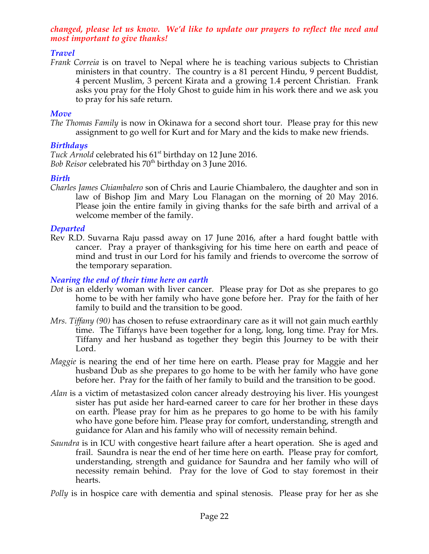### *changed, please let us know. We'd like to update our prayers to reflect the need and most important to give thanks!*

# *Travel*

*Frank Correia* is on travel to Nepal where he is teaching various subjects to Christian ministers in that country. The country is a 81 percent Hindu, 9 percent Buddist, 4 percent Muslim, 3 percent Kirata and a growing 1.4 percent Christian. Frank asks you pray for the Holy Ghost to guide him in his work there and we ask you to pray for his safe return.

### *Move*

*The Thomas Family* is now in Okinawa for a second short tour. Please pray for this new assignment to go well for Kurt and for Mary and the kids to make new friends.

### *Birthdays*

Tuck Arnold celebrated his 61<sup>st</sup> birthday on 12 June 2016. *Bob Reisor celebrated his 70<sup>th</sup> birthday on 3 June 2016.* 

### *Birth*

*Charles James Chiambalero* son of Chris and Laurie Chiambalero, the daughter and son in law of Bishop Jim and Mary Lou Flanagan on the morning of 20 May 2016. Please join the entire family in giving thanks for the safe birth and arrival of a welcome member of the family.

#### *Departed*

Rev R.D. Suvarna Raju passd away on 17 June 2016, after a hard fought battle with cancer. Pray a prayer of thanksgiving for his time here on earth and peace of mind and trust in our Lord for his family and friends to overcome the sorrow of the temporary separation.

### *Nearing the end of their time here on earth*

- *Dot* is an elderly woman with liver cancer. Please pray for Dot as she prepares to go home to be with her family who have gone before her. Pray for the faith of her family to build and the transition to be good.
- *Mrs. Tiffany (90)* has chosen to refuse extraordinary care as it will not gain much earthly time. The Tiffanys have been together for a long, long, long time. Pray for Mrs. Tiffany and her husband as together they begin this Journey to be with their Lord.
- *Maggie* is nearing the end of her time here on earth. Please pray for Maggie and her husband Dub as she prepares to go home to be with her family who have gone before her. Pray for the faith of her family to build and the transition to be good.
- *Alan* is a victim of metastasized colon cancer already destroying his liver. His youngest sister has put aside her hard-earned career to care for her brother in these days on earth. Please pray for him as he prepares to go home to be with his family who have gone before him. Please pray for comfort, understanding, strength and guidance for Alan and his family who will of necessity remain behind.
- *Saundra* is in ICU with congestive heart failure after a heart operation. She is aged and frail. Saundra is near the end of her time here on earth. Please pray for comfort, understanding, strength and guidance for Saundra and her family who will of necessity remain behind. Pray for the love of God to stay foremost in their hearts.

*Polly* is in hospice care with dementia and spinal stenosis. Please pray for her as she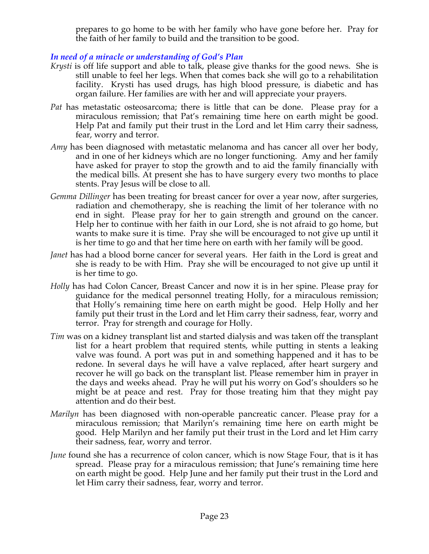prepares to go home to be with her family who have gone before her. Pray for the faith of her family to build and the transition to be good.

# *In need of a miracle or understanding of God's Plan*

- *Krysti* is off life support and able to talk, please give thanks for the good news. She is still unable to feel her legs. When that comes back she will go to a rehabilitation facility. Krysti has used drugs, has high blood pressure, is diabetic and has organ failure. Her families are with her and will appreciate your prayers.
- *Pat* has metastatic osteosarcoma; there is little that can be done. Please pray for a miraculous remission; that Pat's remaining time here on earth might be good. Help Pat and family put their trust in the Lord and let Him carry their sadness, fear, worry and terror.
- *Amy* has been diagnosed with metastatic melanoma and has cancer all over her body, and in one of her kidneys which are no longer functioning. Amy and her family have asked for prayer to stop the growth and to aid the family financially with the medical bills. At present she has to have surgery every two months to place stents. Pray Jesus will be close to all.
- *Gemma Dillinger* has been treating for breast cancer for over a year now, after surgeries, radiation and chemotherapy, she is reaching the limit of her tolerance with no end in sight. Please pray for her to gain strength and ground on the cancer. Help her to continue with her faith in our Lord, she is not afraid to go home, but wants to make sure it is time. Pray she will be encouraged to not give up until it is her time to go and that her time here on earth with her family will be good.
- *Janet* has had a blood borne cancer for several years. Her faith in the Lord is great and she is ready to be with Him. Pray she will be encouraged to not give up until it is her time to go.
- *Holly* has had Colon Cancer, Breast Cancer and now it is in her spine. Please pray for guidance for the medical personnel treating Holly, for a miraculous remission; that Holly's remaining time here on earth might be good. Help Holly and her family put their trust in the Lord and let Him carry their sadness, fear, worry and terror. Pray for strength and courage for Holly.
- *Tim* was on a kidney transplant list and started dialysis and was taken off the transplant list for a heart problem that required stents, while putting in stents a leaking valve was found. A port was put in and something happened and it has to be redone. In several days he will have a valve replaced, after heart surgery and recover he will go back on the transplant list. Please remember him in prayer in the days and weeks ahead. Pray he will put his worry on God's shoulders so he might be at peace and rest. Pray for those treating him that they might pay attention and do their best.
- *Marilyn* has been diagnosed with non-operable pancreatic cancer. Please pray for a miraculous remission; that Marilyn's remaining time here on earth might be good. Help Marilyn and her family put their trust in the Lord and let Him carry their sadness, fear, worry and terror.
- *June* found she has a recurrence of colon cancer, which is now Stage Four, that is it has spread. Please pray for a miraculous remission; that June's remaining time here on earth might be good. Help June and her family put their trust in the Lord and let Him carry their sadness, fear, worry and terror.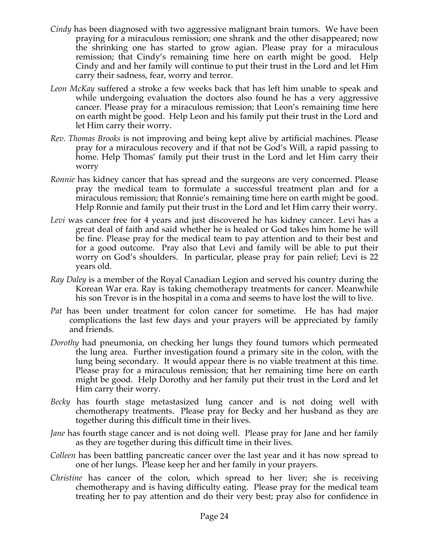- *Cindy* has been diagnosed with two aggressive malignant brain tumors. We have been praying for a miraculous remission; one shrank and the other disappeared; now the shrinking one has started to grow agian. Please pray for a miraculous remission; that Cindy's remaining time here on earth might be good. Help Cindy and and her family will continue to put their trust in the Lord and let Him carry their sadness, fear, worry and terror.
- *Leon McKay* suffered a stroke a few weeks back that has left him unable to speak and while undergoing evaluation the doctors also found he has a very aggressive cancer. Please pray for a miraculous remission; that Leon's remaining time here on earth might be good. Help Leon and his family put their trust in the Lord and let Him carry their worry.
- *Rev. Thomas Brooks* is not improving and being kept alive by artificial machines. Please pray for a miraculous recovery and if that not be God's Will, a rapid passing to home. Help Thomas' family put their trust in the Lord and let Him carry their worry
- *Ronnie* has kidney cancer that has spread and the surgeons are very concerned. Please pray the medical team to formulate a successful treatment plan and for a miraculous remission; that Ronnie's remaining time here on earth might be good. Help Ronnie and family put their trust in the Lord and let Him carry their worry.
- *Levi* was cancer free for 4 years and just discovered he has kidney cancer. Levi has a great deal of faith and said whether he is healed or God takes him home he will be fine. Please pray for the medical team to pay attention and to their best and for a good outcome. Pray also that Levi and family will be able to put their worry on God's shoulders. In particular, please pray for pain relief; Levi is 22 years old.
- *Ray Daley* is a member of the Royal Canadian Legion and served his country during the Korean War era. Ray is taking chemotherapy treatments for cancer. Meanwhile his son Trevor is in the hospital in a coma and seems to have lost the will to live.
- *Pat* has been under treatment for colon cancer for sometime. He has had major complications the last few days and your prayers will be appreciated by family and friends.
- *Dorothy* had pneumonia, on checking her lungs they found tumors which permeated the lung area. Further investigation found a primary site in the colon, with the lung being secondary. It would appear there is no viable treatment at this time. Please pray for a miraculous remission; that her remaining time here on earth might be good. Help Dorothy and her family put their trust in the Lord and let Him carry their worry.
- *Becky* has fourth stage metastasized lung cancer and is not doing well with chemotherapy treatments. Please pray for Becky and her husband as they are together during this difficult time in their lives.
- *Jane* has fourth stage cancer and is not doing well. Please pray for Jane and her family as they are together during this difficult time in their lives.
- *Colleen* has been battling pancreatic cancer over the last year and it has now spread to one of her lungs. Please keep her and her family in your prayers.
- *Christine* has cancer of the colon, which spread to her liver; she is receiving chemotherapy and is having difficulty eating. Please pray for the medical team treating her to pay attention and do their very best; pray also for confidence in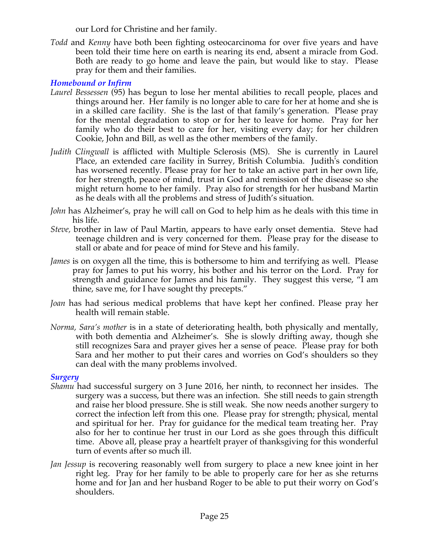our Lord for Christine and her family.

*Todd* and *Kenny* have both been fighting osteocarcinoma for over five years and have been told their time here on earth is nearing its end, absent a miracle from God. Both are ready to go home and leave the pain, but would like to stay. Please pray for them and their families.

# *Homebound or Infirm*

- *Laurel Bessessen* (95) has begun to lose her mental abilities to recall people, places and things around her. Her family is no longer able to care for her at home and she is in a skilled care facility. She is the last of that family's generation. Please pray for the mental degradation to stop or for her to leave for home. Pray for her family who do their best to care for her, visiting every day; for her children Cookie, John and Bill, as well as the other members of the family.
- *Judith Clingwall* is afflicted with Multiple Sclerosis (MS). She is currently in Laurel Place, an extended care facility in Surrey, British Columbia. Judith's condition has worsened recently. Please pray for her to take an active part in her own life, for her strength, peace of mind, trust in God and remission of the disease so she might return home to her family. Pray also for strength for her husband Martin as he deals with all the problems and stress of Judith's situation.
- *John* has Alzheimer's, pray he will call on God to help him as he deals with this time in his life.
- *Steve,* brother in law of Paul Martin, appears to have early onset dementia. Steve had teenage children and is very concerned for them. Please pray for the disease to stall or abate and for peace of mind for Steve and his family.
- *James* is on oxygen all the time, this is bothersome to him and terrifying as well. Please pray for James to put his worry, his bother and his terror on the Lord. Pray for strength and guidance for James and his family. They suggest this verse, "I am thine, save me, for I have sought thy precepts."
- *Joan* has had serious medical problems that have kept her confined. Please pray her health will remain stable.
- *Norma, Sara's mother* is in a state of deteriorating health, both physically and mentally, with both dementia and Alzheimer's. She is slowly drifting away, though she still recognizes Sara and prayer gives her a sense of peace. Please pray for both Sara and her mother to put their cares and worries on God's shoulders so they can deal with the many problems involved.

# *Surgery*

- *Shamu* had successful surgery on 3 June 2016, her ninth, to reconnect her insides. The surgery was a success, but there was an infection. She still needs to gain strength and raise her blood pressure. She is still weak. She now needs another surgery to correct the infection left from this one. Please pray for strength; physical, mental and spiritual for her. Pray for guidance for the medical team treating her. Pray also for her to continue her trust in our Lord as she goes through this difficult time. Above all, please pray a heartfelt prayer of thanksgiving for this wonderful turn of events after so much ill.
- *Jan Jessup* is recovering reasonably well from surgery to place a new knee joint in her right leg. Pray for her family to be able to properly care for her as she returns home and for Jan and her husband Roger to be able to put their worry on God's shoulders.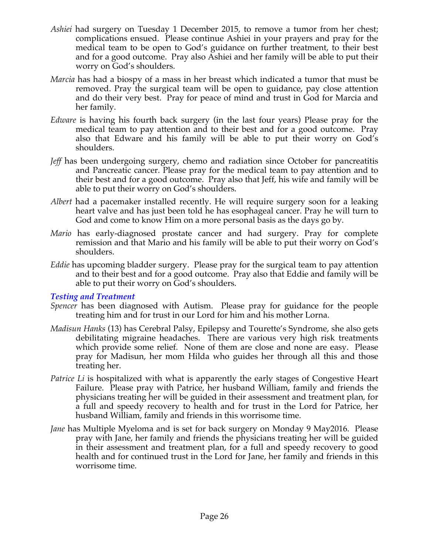- *Ashiei* had surgery on Tuesday 1 December 2015, to remove a tumor from her chest; complications ensued. Please continue Ashiei in your prayers and pray for the medical team to be open to God's guidance on further treatment, to their best and for a good outcome. Pray also Ashiei and her family will be able to put their worry on God's shoulders.
- *Marcia* has had a biospy of a mass in her breast which indicated a tumor that must be removed. Pray the surgical team will be open to guidance, pay close attention and do their very best. Pray for peace of mind and trust in God for Marcia and her family.
- *Edware* is having his fourth back surgery (in the last four years) Please pray for the medical team to pay attention and to their best and for a good outcome. Pray also that Edware and his family will be able to put their worry on God's shoulders.
- *Jeff* has been undergoing surgery, chemo and radiation since October for pancreatitis and Pancreatic cancer. Please pray for the medical team to pay attention and to their best and for a good outcome. Pray also that Jeff, his wife and family will be able to put their worry on God's shoulders.
- *Albert* had a pacemaker installed recently. He will require surgery soon for a leaking heart valve and has just been told he has esophageal cancer. Pray he will turn to God and come to know Him on a more personal basis as the days go by.
- *Mario* has early-diagnosed prostate cancer and had surgery. Pray for complete remission and that Mario and his family will be able to put their worry on God's shoulders.
- *Eddie* has upcoming bladder surgery. Please pray for the surgical team to pay attention and to their best and for a good outcome. Pray also that Eddie and family will be able to put their worry on God's shoulders.

#### *Testing and Treatment*

- *Spencer* has been diagnosed with Autism. Please pray for guidance for the people treating him and for trust in our Lord for him and his mother Lorna.
- *Madisun Hanks* (13) has Cerebral Palsy, Epilepsy and Tourette's Syndrome, she also gets debilitating migraine headaches. There are various very high risk treatments which provide some relief. None of them are close and none are easy. Please pray for Madisun, her mom Hilda who guides her through all this and those treating her.
- *Patrice Li* is hospitalized with what is apparently the early stages of Congestive Heart Failure. Please pray with Patrice, her husband William, family and friends the physicians treating her will be guided in their assessment and treatment plan, for a full and speedy recovery to health and for trust in the Lord for Patrice, her husband William, family and friends in this worrisome time.
- *Jane* has Multiple Myeloma and is set for back surgery on Monday 9 May2016. Please pray with Jane, her family and friends the physicians treating her will be guided in their assessment and treatment plan, for a full and speedy recovery to good health and for continued trust in the Lord for Jane, her family and friends in this worrisome time.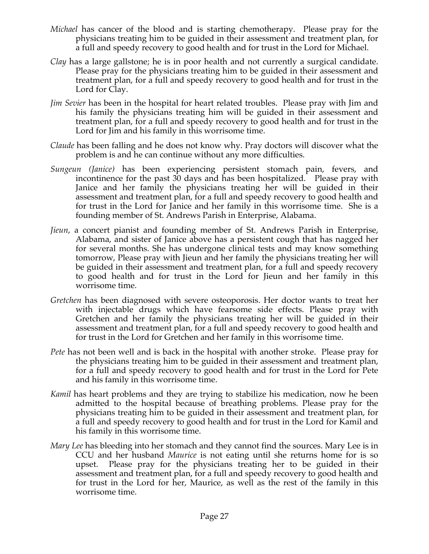- *Michael* has cancer of the blood and is starting chemotherapy. Please pray for the physicians treating him to be guided in their assessment and treatment plan, for a full and speedy recovery to good health and for trust in the Lord for Michael.
- *Clay* has a large gallstone; he is in poor health and not currently a surgical candidate. Please pray for the physicians treating him to be guided in their assessment and treatment plan, for a full and speedy recovery to good health and for trust in the Lord for Clay.
- *Jim Sevier* has been in the hospital for heart related troubles. Please pray with Jim and his family the physicians treating him will be guided in their assessment and treatment plan, for a full and speedy recovery to good health and for trust in the Lord for Jim and his family in this worrisome time.
- *Claude* has been falling and he does not know why. Pray doctors will discover what the problem is and he can continue without any more difficulties.
- *Sungeun (Janice)* has been experiencing persistent stomach pain, fevers, and incontinence for the past 30 days and has been hospitalized. Please pray with Janice and her family the physicians treating her will be guided in their assessment and treatment plan, for a full and speedy recovery to good health and for trust in the Lord for Janice and her family in this worrisome time. She is a founding member of St. Andrews Parish in Enterprise, Alabama.
- *Jieun*, a concert pianist and founding member of St. Andrews Parish in Enterprise, Alabama, and sister of Janice above has a persistent cough that has nagged her for several months. She has undergone clinical tests and may know something tomorrow, Please pray with Jieun and her family the physicians treating her will be guided in their assessment and treatment plan, for a full and speedy recovery to good health and for trust in the Lord for Jieun and her family in this worrisome time.
- *Gretchen* has been diagnosed with severe osteoporosis. Her doctor wants to treat her with injectable drugs which have fearsome side effects. Please pray with Gretchen and her family the physicians treating her will be guided in their assessment and treatment plan, for a full and speedy recovery to good health and for trust in the Lord for Gretchen and her family in this worrisome time.
- *Pete* has not been well and is back in the hospital with another stroke. Please pray for the physicians treating him to be guided in their assessment and treatment plan, for a full and speedy recovery to good health and for trust in the Lord for Pete and his family in this worrisome time.
- *Kamil* has heart problems and they are trying to stabilize his medication, now he been admitted to the hospital because of breathing problems. Please pray for the physicians treating him to be guided in their assessment and treatment plan, for a full and speedy recovery to good health and for trust in the Lord for Kamil and his family in this worrisome time.
- *Mary Lee* has bleeding into her stomach and they cannot find the sources. Mary Lee is in CCU and her husband *Maurice* is not eating until she returns home for is so upset. Please pray for the physicians treating her to be guided in their assessment and treatment plan, for a full and speedy recovery to good health and for trust in the Lord for her, Maurice, as well as the rest of the family in this worrisome time.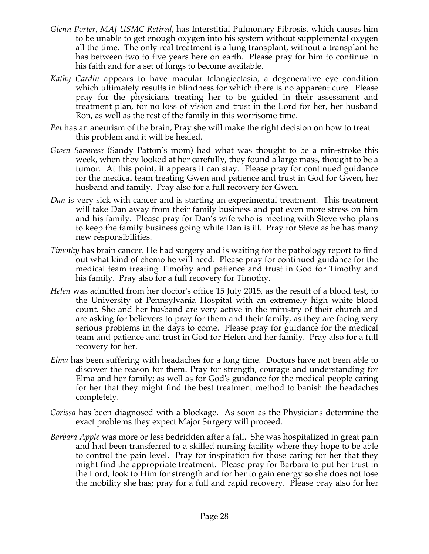- *Glenn Porter, MAJ USMC Retired,* has Interstitial Pulmonary Fibrosis, which causes him to be unable to get enough oxygen into his system without supplemental oxygen all the time. The only real treatment is a lung transplant, without a transplant he has between two to five years here on earth. Please pray for him to continue in his faith and for a set of lungs to become available.
- *Kathy Cardin* appears to have macular telangiectasia, a degenerative eye condition which ultimately results in blindness for which there is no apparent cure. Please pray for the physicians treating her to be guided in their assessment and treatment plan, for no loss of vision and trust in the Lord for her, her husband Ron, as well as the rest of the family in this worrisome time.
- *Pat* has an aneurism of the brain, Pray she will make the right decision on how to treat this problem and it will be healed.
- *Gwen Savarese* (Sandy Patton's mom) had what was thought to be a min-stroke this week, when they looked at her carefully, they found a large mass, thought to be a tumor. At this point, it appears it can stay. Please pray for continued guidance for the medical team treating Gwen and patience and trust in God for Gwen, her husband and family. Pray also for a full recovery for Gwen.
- *Dan* is very sick with cancer and is starting an experimental treatment. This treatment will take Dan away from their family business and put even more stress on him and his family. Please pray for Dan's wife who is meeting with Steve who plans to keep the family business going while Dan is ill. Pray for Steve as he has many new responsibilities.
- *Timothy* has brain cancer. He had surgery and is waiting for the pathology report to find out what kind of chemo he will need. Please pray for continued guidance for the medical team treating Timothy and patience and trust in God for Timothy and his family. Pray also for a full recovery for Timothy.
- *Helen* was admitted from her doctor's office 15 July 2015, as the result of a blood test, to the University of Pennsylvania Hospital with an extremely high white blood count. She and her husband are very active in the ministry of their church and are asking for believers to pray for them and their family, as they are facing very serious problems in the days to come. Please pray for guidance for the medical team and patience and trust in God for Helen and her family. Pray also for a full recovery for her.
- *Elma* has been suffering with headaches for a long time. Doctors have not been able to discover the reason for them. Pray for strength, courage and understanding for Elma and her family; as well as for God's guidance for the medical people caring for her that they might find the best treatment method to banish the headaches completely.
- *Corissa* has been diagnosed with a blockage. As soon as the Physicians determine the exact problems they expect Major Surgery will proceed.
- *Barbara Apple* was more or less bedridden after a fall. She was hospitalized in great pain and had been transferred to a skilled nursing facility where they hope to be able to control the pain level. Pray for inspiration for those caring for her that they might find the appropriate treatment. Please pray for Barbara to put her trust in the Lord, look to Him for strength and for her to gain energy so she does not lose the mobility she has; pray for a full and rapid recovery. Please pray also for her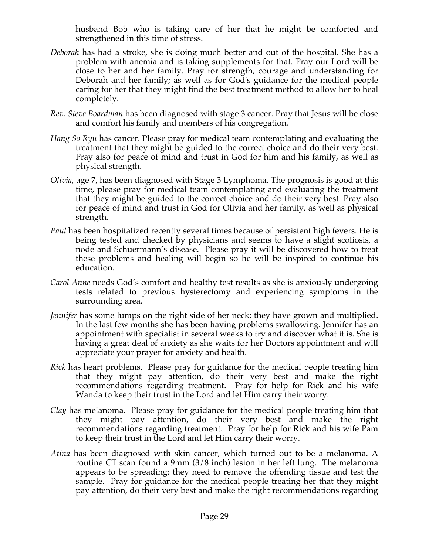husband Bob who is taking care of her that he might be comforted and strengthened in this time of stress.

- *Deborah* has had a stroke, she is doing much better and out of the hospital. She has a problem with anemia and is taking supplements for that. Pray our Lord will be close to her and her family. Pray for strength, courage and understanding for Deborah and her family; as well as for God's guidance for the medical people caring for her that they might find the best treatment method to allow her to heal completely.
- *Rev. Steve Boardman* has been diagnosed with stage 3 cancer. Pray that Jesus will be close and comfort his family and members of his congregation*.*
- *Hang So Ryu* has cancer. Please pray for medical team contemplating and evaluating the treatment that they might be guided to the correct choice and do their very best. Pray also for peace of mind and trust in God for him and his family, as well as physical strength.
- *Olivia,* age 7, has been diagnosed with Stage 3 Lymphoma. The prognosis is good at this time, please pray for medical team contemplating and evaluating the treatment that they might be guided to the correct choice and do their very best. Pray also for peace of mind and trust in God for Olivia and her family, as well as physical strength.
- *Paul* has been hospitalized recently several times because of persistent high fevers. He is being tested and checked by physicians and seems to have a slight scoliosis, a node and Schuermann's disease. Please pray it will be discovered how to treat these problems and healing will begin so he will be inspired to continue his education.
- *Carol Anne* needs God's comfort and healthy test results as she is anxiously undergoing tests related to previous hysterectomy and experiencing symptoms in the surrounding area.
- *Jennifer* has some lumps on the right side of her neck; they have grown and multiplied. In the last few months she has been having problems swallowing. Jennifer has an appointment with specialist in several weeks to try and discover what it is. She is having a great deal of anxiety as she waits for her Doctors appointment and will appreciate your prayer for anxiety and health.
- *Rick* has heart problems. Please pray for guidance for the medical people treating him that they might pay attention, do their very best and make the right recommendations regarding treatment. Pray for help for Rick and his wife Wanda to keep their trust in the Lord and let Him carry their worry.
- *Clay* has melanoma. Please pray for guidance for the medical people treating him that they might pay attention, do their very best and make the right recommendations regarding treatment. Pray for help for Rick and his wife Pam to keep their trust in the Lord and let Him carry their worry.
- *Atina* has been diagnosed with skin cancer, which turned out to be a melanoma. A routine CT scan found a 9mm (3/8 inch) lesion in her left lung. The melanoma appears to be spreading; they need to remove the offending tissue and test the sample. Pray for guidance for the medical people treating her that they might pay attention, do their very best and make the right recommendations regarding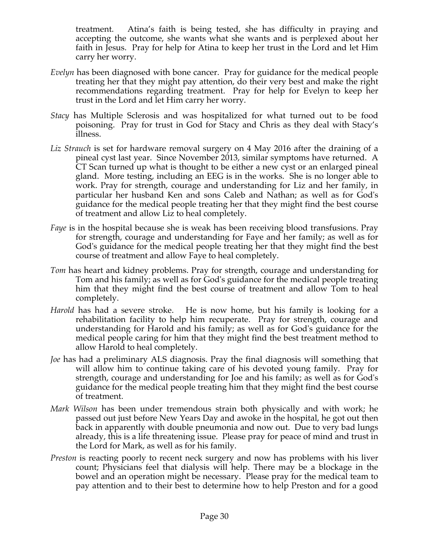treatment. Atina's faith is being tested, she has difficulty in praying and accepting the outcome, she wants what she wants and is perplexed about her faith in Jesus. Pray for help for Atina to keep her trust in the Lord and let Him carry her worry.

- *Evelyn* has been diagnosed with bone cancer. Pray for guidance for the medical people treating her that they might pay attention, do their very best and make the right recommendations regarding treatment. Pray for help for Evelyn to keep her trust in the Lord and let Him carry her worry.
- *Stacy* has Multiple Sclerosis and was hospitalized for what turned out to be food poisoning. Pray for trust in God for Stacy and Chris as they deal with Stacy's illness.
- Liz *Strauch* is set for hardware removal surgery on 4 May 2016 after the draining of a pineal cyst last year. Since November 2013, similar symptoms have returned. A CT Scan turned up what is thought to be either a new cyst or an enlarged pineal gland. More testing, including an EEG is in the works. She is no longer able to work. Pray for strength, courage and understanding for Liz and her family, in particular her husband Ken and sons Caleb and Nathan; as well as for God's guidance for the medical people treating her that they might find the best course of treatment and allow Liz to heal completely.
- *Faye* is in the hospital because she is weak has been receiving blood transfusions. Pray for strength, courage and understanding for Faye and her family; as well as for God's guidance for the medical people treating her that they might find the best course of treatment and allow Faye to heal completely.
- *Tom* has heart and kidney problems. Pray for strength, courage and understanding for Tom and his family; as well as for God's guidance for the medical people treating him that they might find the best course of treatment and allow Tom to heal completely.
- *Harold* has had a severe stroke. He is now home, but his family is looking for a rehabilitation facility to help him recuperate. Pray for strength, courage and understanding for Harold and his family; as well as for God's guidance for the medical people caring for him that they might find the best treatment method to allow Harold to heal completely.
- *Joe* has had a preliminary ALS diagnosis. Pray the final diagnosis will something that will allow him to continue taking care of his devoted young family. Pray for strength, courage and understanding for Joe and his family; as well as for God's guidance for the medical people treating him that they might find the best course of treatment.
- *Mark Wilson* has been under tremendous strain both physically and with work; he passed out just before New Years Day and awoke in the hospital, he got out then back in apparently with double pneumonia and now out. Due to very bad lungs already, this is a life threatening issue. Please pray for peace of mind and trust in the Lord for Mark, as well as for his family.
- *Preston* is reacting poorly to recent neck surgery and now has problems with his liver count; Physicians feel that dialysis will help. There may be a blockage in the bowel and an operation might be necessary. Please pray for the medical team to pay attention and to their best to determine how to help Preston and for a good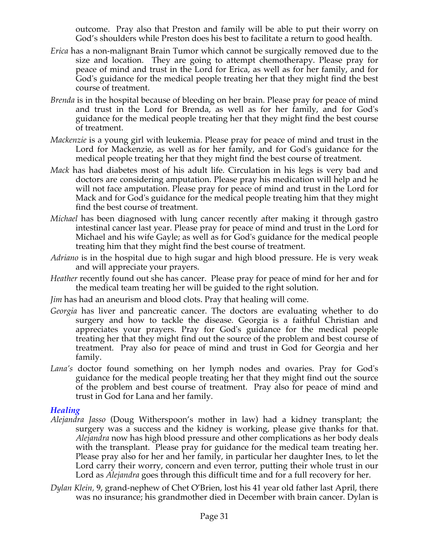outcome. Pray also that Preston and family will be able to put their worry on God's shoulders while Preston does his best to facilitate a return to good health.

- *Erica* has a non-malignant Brain Tumor which cannot be surgically removed due to the size and location. They are going to attempt chemotherapy. Please pray for peace of mind and trust in the Lord for Erica, as well as for her family, and for God's guidance for the medical people treating her that they might find the best course of treatment.
- *Brenda* is in the hospital because of bleeding on her brain. Please pray for peace of mind and trust in the Lord for Brenda, as well as for her family, and for God's guidance for the medical people treating her that they might find the best course of treatment.
- *Mackenzie* is a young girl with leukemia. Please pray for peace of mind and trust in the Lord for Mackenzie, as well as for her family, and for God's guidance for the medical people treating her that they might find the best course of treatment.
- *Mack* has had diabetes most of his adult life. Circulation in his legs is very bad and doctors are considering amputation. Please pray his medication will help and he will not face amputation. Please pray for peace of mind and trust in the Lord for Mack and for God's guidance for the medical people treating him that they might find the best course of treatment.
- *Michael* has been diagnosed with lung cancer recently after making it through gastro intestinal cancer last year. Please pray for peace of mind and trust in the Lord for Michael and his wife Gayle; as well as for God's guidance for the medical people treating him that they might find the best course of treatment.
- *Adriano* is in the hospital due to high sugar and high blood pressure. He is very weak and will appreciate your prayers.
- *Heather* recently found out she has cancer. Please pray for peace of mind for her and for the medical team treating her will be guided to the right solution.
- *Jim* has had an aneurism and blood clots. Pray that healing will come.
- *Georgia* has liver and pancreatic cancer. The doctors are evaluating whether to do surgery and how to tackle the disease. Georgia is a faithful Christian and appreciates your prayers. Pray for God's guidance for the medical people treating her that they might find out the source of the problem and best course of treatment. Pray also for peace of mind and trust in God for Georgia and her family.
- *Lana's* doctor found something on her lymph nodes and ovaries. Pray for God's guidance for the medical people treating her that they might find out the source of the problem and best course of treatment. Pray also for peace of mind and trust in God for Lana and her family.

# *Healing*

- *Alejandra Jasso* (Doug Witherspoon's mother in law) had a kidney transplant; the surgery was a success and the kidney is working, please give thanks for that. *Alejandra* now has high blood pressure and other complications as her body deals with the transplant. Please pray for guidance for the medical team treating her. Please pray also for her and her family, in particular her daughter Ines, to let the Lord carry their worry, concern and even terror, putting their whole trust in our Lord as *Alejandra* goes through this difficult time and for a full recovery for her.
- *Dylan Klein,* 9, grand-nephew of Chet O'Brien, lost his 41 year old father last April, there was no insurance; his grandmother died in December with brain cancer. Dylan is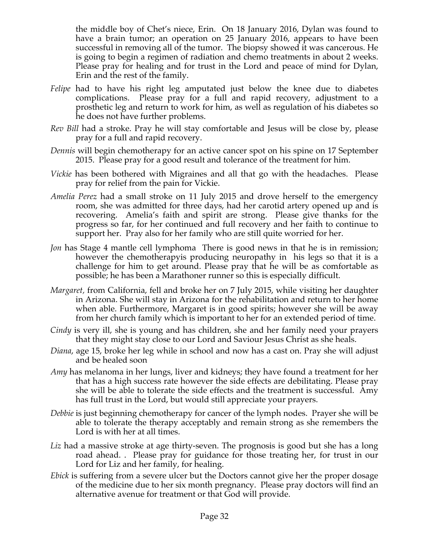the middle boy of Chet's niece, Erin. On 18 January 2016, Dylan was found to have a brain tumor; an operation on 25 January 2016, appears to have been successful in removing all of the tumor. The biopsy showed it was cancerous. He is going to begin a regimen of radiation and chemo treatments in about 2 weeks. Please pray for healing and for trust in the Lord and peace of mind for Dylan, Erin and the rest of the family.

- *Felipe* had to have his right leg amputated just below the knee due to diabetes complications. Please pray for a full and rapid recovery, adjustment to a prosthetic leg and return to work for him, as well as regulation of his diabetes so he does not have further problems.
- *Rev Bill* had a stroke. Pray he will stay comfortable and Jesus will be close by, please pray for a full and rapid recovery.
- *Dennis* will begin chemotherapy for an active cancer spot on his spine on 17 September 2015. Please pray for a good result and tolerance of the treatment for him.
- *Vickie* has been bothered with Migraines and all that go with the headaches. Please pray for relief from the pain for Vickie.
- *Amelia Perez* had a small stroke on 11 July 2015 and drove herself to the emergency room, she was admitted for three days, had her carotid artery opened up and is recovering. Amelia's faith and spirit are strong. Please give thanks for the progress so far, for her continued and full recovery and her faith to continue to support her. Pray also for her family who are still quite worried for her.
- *Jon* has Stage 4 mantle cell lymphoma There is good news in that he is in remission; however the chemotherapyis producing neuropathy in his legs so that it is a challenge for him to get around. Please pray that he will be as comfortable as possible; he has been a Marathoner runner so this is especially difficult.
- *Margaret,* from California, fell and broke her on 7 July 2015, while visiting her daughter in Arizona. She will stay in Arizona for the rehabilitation and return to her home when able. Furthermore, Margaret is in good spirits; however she will be away from her church family which is important to her for an extended period of time.
- *Cindy* is very ill, she is young and has children, she and her family need your prayers that they might stay close to our Lord and Saviour Jesus Christ as she heals.
- *Diana*, age 15, broke her leg while in school and now has a cast on. Pray she will adjust and be healed soon
- *Amy* has melanoma in her lungs, liver and kidneys; they have found a treatment for her that has a high success rate however the side effects are debilitating. Please pray she will be able to tolerate the side effects and the treatment is successful. Amy has full trust in the Lord, but would still appreciate your prayers.
- *Debbie* is just beginning chemotherapy for cancer of the lymph nodes. Prayer she will be able to tolerate the therapy acceptably and remain strong as she remembers the Lord is with her at all times.
- Liz had a massive stroke at age thirty-seven. The prognosis is good but she has a long road ahead. . Please pray for guidance for those treating her, for trust in our Lord for Liz and her family, for healing.
- *Ebick* is suffering from a severe ulcer but the Doctors cannot give her the proper dosage of the medicine due to her six month pregnancy. Please pray doctors will find an alternative avenue for treatment or that God will provide.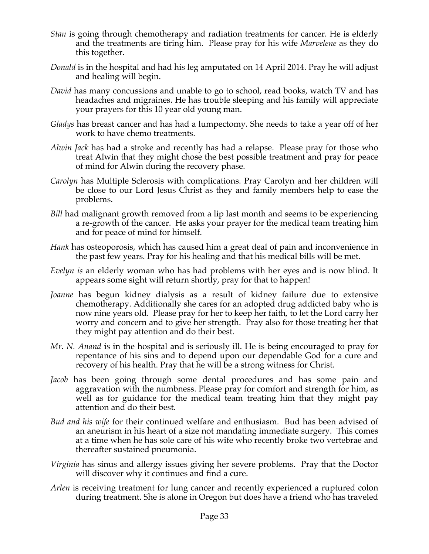- *Stan* is going through chemotherapy and radiation treatments for cancer. He is elderly and the treatments are tiring him. Please pray for his wife *Marvelene* as they do this together.
- *Donald* is in the hospital and had his leg amputated on 14 April 2014. Pray he will adjust and healing will begin.
- *David* has many concussions and unable to go to school, read books, watch TV and has headaches and migraines. He has trouble sleeping and his family will appreciate your prayers for this 10 year old young man.
- *Gladys* has breast cancer and has had a lumpectomy. She needs to take a year off of her work to have chemo treatments.
- *Alwin Jack* has had a stroke and recently has had a relapse. Please pray for those who treat Alwin that they might chose the best possible treatment and pray for peace of mind for Alwin during the recovery phase.
- *Carolyn* has Multiple Sclerosis with complications. Pray Carolyn and her children will be close to our Lord Jesus Christ as they and family members help to ease the problems.
- *Bill* had malignant growth removed from a lip last month and seems to be experiencing a re-growth of the cancer. He asks your prayer for the medical team treating him and for peace of mind for himself.
- *Hank* has osteoporosis, which has caused him a great deal of pain and inconvenience in the past few years. Pray for his healing and that his medical bills will be met.
- *Evelyn is* an elderly woman who has had problems with her eyes and is now blind. It appears some sight will return shortly, pray for that to happen!
- *Joanne* has begun kidney dialysis as a result of kidney failure due to extensive chemotherapy. Additionally she cares for an adopted drug addicted baby who is now nine years old. Please pray for her to keep her faith, to let the Lord carry her worry and concern and to give her strength. Pray also for those treating her that they might pay attention and do their best.
- *Mr. N. Anand* is in the hospital and is seriously ill. He is being encouraged to pray for repentance of his sins and to depend upon our dependable God for a cure and recovery of his health. Pray that he will be a strong witness for Christ.
- *Jacob* has been going through some dental procedures and has some pain and aggravation with the numbness. Please pray for comfort and strength for him, as well as for guidance for the medical team treating him that they might pay attention and do their best.
- *Bud and his wife* for their continued welfare and enthusiasm. Bud has been advised of an aneurism in his heart of a size not mandating immediate surgery. This comes at a time when he has sole care of his wife who recently broke two vertebrae and thereafter sustained pneumonia.
- *Virginia* has sinus and allergy issues giving her severe problems. Pray that the Doctor will discover why it continues and find a cure.
- *Arlen* is receiving treatment for lung cancer and recently experienced a ruptured colon during treatment. She is alone in Oregon but does have a friend who has traveled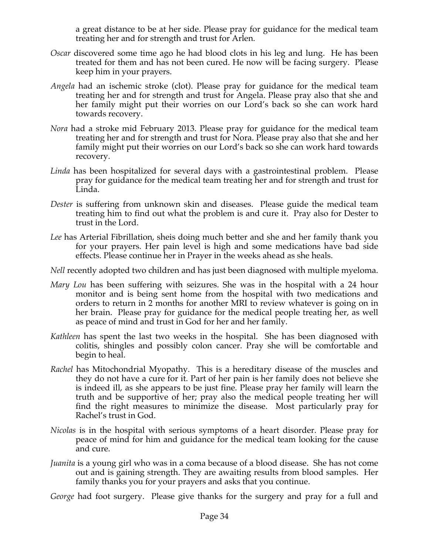a great distance to be at her side. Please pray for guidance for the medical team treating her and for strength and trust for Arlen.

- *Oscar* discovered some time ago he had blood clots in his leg and lung. He has been treated for them and has not been cured. He now will be facing surgery. Please keep him in your prayers.
- *Angela* had an ischemic stroke (clot). Please pray for guidance for the medical team treating her and for strength and trust for Angela. Please pray also that she and her family might put their worries on our Lord's back so she can work hard towards recovery.
- *Nora* had a stroke mid February 2013. Please pray for guidance for the medical team treating her and for strength and trust for Nora. Please pray also that she and her family might put their worries on our Lord's back so she can work hard towards recovery.
- *Linda* has been hospitalized for several days with a gastrointestinal problem. Please pray for guidance for the medical team treating her and for strength and trust for Linda.
- *Dester* is suffering from unknown skin and diseases. Please guide the medical team treating him to find out what the problem is and cure it. Pray also for Dester to trust in the Lord.
- *Lee* has Arterial Fibrillation, sheis doing much better and she and her family thank you for your prayers. Her pain level is high and some medications have bad side effects. Please continue her in Prayer in the weeks ahead as she heals.
- *Nell* recently adopted two children and has just been diagnosed with multiple myeloma.
- *Mary Lou* has been suffering with seizures. She was in the hospital with a 24 hour monitor and is being sent home from the hospital with two medications and orders to return in 2 months for another MRI to review whatever is going on in her brain. Please pray for guidance for the medical people treating her, as well as peace of mind and trust in God for her and her family.
- *Kathleen* has spent the last two weeks in the hospital. She has been diagnosed with colitis, shingles and possibly colon cancer. Pray she will be comfortable and begin to heal.
- *Rachel* has Mitochondrial Myopathy. This is a hereditary disease of the muscles and they do not have a cure for it. Part of her pain is her family does not believe she is indeed ill, as she appears to be just fine. Please pray her family will learn the truth and be supportive of her; pray also the medical people treating her will find the right measures to minimize the disease. Most particularly pray for Rachel's trust in God.
- *Nicolas* is in the hospital with serious symptoms of a heart disorder. Please pray for peace of mind for him and guidance for the medical team looking for the cause and cure.
- *Juanita* is a young girl who was in a coma because of a blood disease. She has not come out and is gaining strength. They are awaiting results from blood samples. Her family thanks you for your prayers and asks that you continue.

*George* had foot surgery. Please give thanks for the surgery and pray for a full and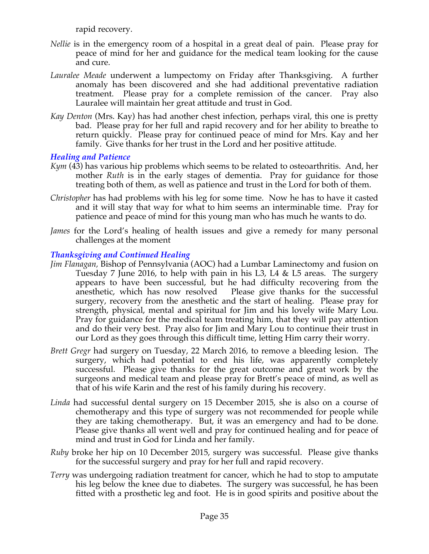rapid recovery.

- *Nellie* is in the emergency room of a hospital in a great deal of pain. Please pray for peace of mind for her and guidance for the medical team looking for the cause and cure.
- *Lauralee Meade* underwent a lumpectomy on Friday after Thanksgiving. A further anomaly has been discovered and she had additional preventative radiation treatment. Please pray for a complete remission of the cancer. Pray also Lauralee will maintain her great attitude and trust in God.
- *Kay Denton* (Mrs. Kay) has had another chest infection, perhaps viral, this one is pretty bad. Please pray for her full and rapid recovery and for her ability to breathe to return quickly. Please pray for continued peace of mind for Mrs. Kay and her family. Give thanks for her trust in the Lord and her positive attitude.

# *Healing and Patience*

- *Kym* (43) has various hip problems which seems to be related to osteoarthritis. And, her mother *Ruth* is in the early stages of dementia. Pray for guidance for those treating both of them, as well as patience and trust in the Lord for both of them.
- *Christopher* has had problems with his leg for some time. Now he has to have it casted and it will stay that way for what to him seems an interminable time. Pray for patience and peace of mind for this young man who has much he wants to do.
- *James* for the Lord's healing of health issues and give a remedy for many personal challenges at the moment

### *Thanksgiving and Continued Healing*

- *Jim Flanagan,* Bishop of Pennsylvania (AOC) had a Lumbar Laminectomy and fusion on Tuesday 7 June 2016, to help with pain in his L3, L4 & L5 areas. The surgery appears to have been successful, but he had difficulty recovering from the anesthetic, which has now resolved Please give thanks for the successful surgery, recovery from the anesthetic and the start of healing. Please pray for strength, physical, mental and spiritual for Jim and his lovely wife Mary Lou. Pray for guidance for the medical team treating him, that they will pay attention and do their very best. Pray also for Jim and Mary Lou to continue their trust in our Lord as they goes through this difficult time, letting Him carry their worry.
- *Brett Gregr* had surgery on Tuesday, 22 March 2016, to remove a bleeding lesion. The surgery, which had potential to end his life, was apparently completely successful. Please give thanks for the great outcome and great work by the surgeons and medical team and please pray for Brett's peace of mind, as well as that of his wife Karin and the rest of his family during his recovery.
- *Linda* had successful dental surgery on 15 December 2015, she is also on a course of chemotherapy and this type of surgery was not recommended for people while they are taking chemotherapy. But, it was an emergency and had to be done. Please give thanks all went well and pray for continued healing and for peace of mind and trust in God for Linda and her family.
- *Ruby* broke her hip on 10 December 2015, surgery was successful. Please give thanks for the successful surgery and pray for her full and rapid recovery.
- *Terry* was undergoing radiation treatment for cancer, which he had to stop to amputate his leg below the knee due to diabetes. The surgery was successful, he has been fitted with a prosthetic leg and foot. He is in good spirits and positive about the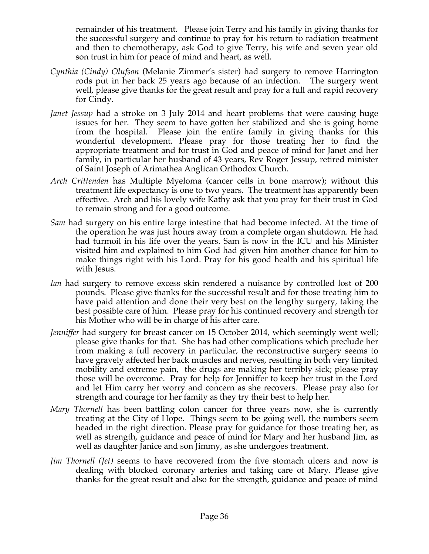remainder of his treatment. Please join Terry and his family in giving thanks for the successful surgery and continue to pray for his return to radiation treatment and then to chemotherapy, ask God to give Terry, his wife and seven year old son trust in him for peace of mind and heart, as well.

- *Cynthia (Cindy) Olufson* (Melanie Zimmer's sister) had surgery to remove Harrington rods put in her back 25 years ago because of an infection. The surgery went well, please give thanks for the great result and pray for a full and rapid recovery for Cindy.
- *Janet Jessup* had a stroke on 3 July 2014 and heart problems that were causing huge issues for her. They seem to have gotten her stabilized and she is going home from the hospital. Please join the entire family in giving thanks for this wonderful development. Please pray for those treating her to find the appropriate treatment and for trust in God and peace of mind for Janet and her family, in particular her husband of 43 years, Rev Roger Jessup, retired minister of Saint Joseph of Arimathea Anglican Orthodox Church.
- *Arch Crittenden* has Multiple Myeloma (cancer cells in bone marrow); without this treatment life expectancy is one to two years. The treatment has apparently been effective. Arch and his lovely wife Kathy ask that you pray for their trust in God to remain strong and for a good outcome.
- *Sam* had surgery on his entire large intestine that had become infected. At the time of the operation he was just hours away from a complete organ shutdown. He had had turmoil in his life over the years. Sam is now in the ICU and his Minister visited him and explained to him God had given him another chance for him to make things right with his Lord. Pray for his good health and his spiritual life with Jesus.
- *Ian* had surgery to remove excess skin rendered a nuisance by controlled lost of 200 pounds. Please give thanks for the successful result and for those treating him to have paid attention and done their very best on the lengthy surgery, taking the best possible care of him. Please pray for his continued recovery and strength for his Mother who will be in charge of his after care.
- *Jenniffer* had surgery for breast cancer on 15 October 2014, which seemingly went well; please give thanks for that. She has had other complications which preclude her from making a full recovery in particular, the reconstructive surgery seems to have gravely affected her back muscles and nerves, resulting in both very limited mobility and extreme pain, the drugs are making her terribly sick; please pray those will be overcome. Pray for help for Jenniffer to keep her trust in the Lord and let Him carry her worry and concern as she recovers. Please pray also for strength and courage for her family as they try their best to help her.
- *Mary Thornell* has been battling colon cancer for three years now, she is currently treating at the City of Hope. Things seem to be going well, the numbers seem headed in the right direction. Please pray for guidance for those treating her, as well as strength, guidance and peace of mind for Mary and her husband Jim, as well as daughter Janice and son Jimmy, as she undergoes treatment.
- *Jim Thornell (Jet)* seems to have recovered from the five stomach ulcers and now is dealing with blocked coronary arteries and taking care of Mary. Please give thanks for the great result and also for the strength, guidance and peace of mind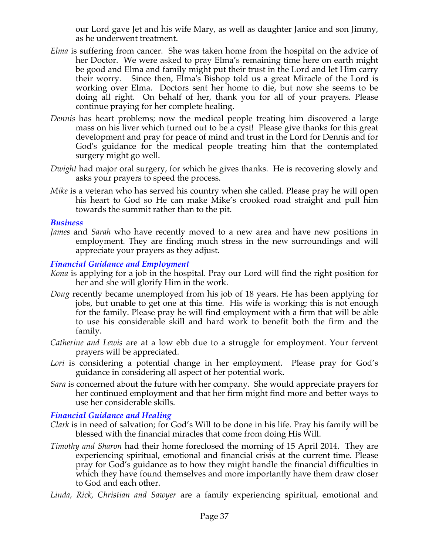our Lord gave Jet and his wife Mary, as well as daughter Janice and son Jimmy, as he underwent treatment.

- *Elma* is suffering from cancer. She was taken home from the hospital on the advice of her Doctor. We were asked to pray Elma's remaining time here on earth might be good and Elma and family might put their trust in the Lord and let Him carry their worry. Since then, Elma's Bishop told us a great Miracle of the Lord is working over Elma. Doctors sent her home to die, but now she seems to be doing all right. On behalf of her, thank you for all of your prayers. Please continue praying for her complete healing.
- *Dennis* has heart problems; now the medical people treating him discovered a large mass on his liver which turned out to be a cyst! Please give thanks for this great development and pray for peace of mind and trust in the Lord for Dennis and for God's guidance for the medical people treating him that the contemplated surgery might go well.
- *Dwight* had major oral surgery, for which he gives thanks. He is recovering slowly and asks your prayers to speed the process.
- *Mike* is a veteran who has served his country when she called. Please pray he will open his heart to God so He can make Mike's crooked road straight and pull him towards the summit rather than to the pit.

#### *Business*

*James* and *Sarah* who have recently moved to a new area and have new positions in employment. They are finding much stress in the new surroundings and will appreciate your prayers as they adjust.

### *Financial Guidance and Employment*

- *Kona* is applying for a job in the hospital. Pray our Lord will find the right position for her and she will glorify Him in the work.
- *Doug* recently became unemployed from his job of 18 years. He has been applying for jobs, but unable to get one at this time. His wife is working; this is not enough for the family. Please pray he will find employment with a firm that will be able to use his considerable skill and hard work to benefit both the firm and the family.
- *Catherine and Lewis* are at a low ebb due to a struggle for employment. Your fervent prayers will be appreciated.
- Lori is considering a potential change in her employment. Please pray for God's guidance in considering all aspect of her potential work.
- *Sara* is concerned about the future with her company. She would appreciate prayers for her continued employment and that her firm might find more and better ways to use her considerable skills.

# *Financial Guidance and Healing*

- *Clark* is in need of salvation; for God's Will to be done in his life. Pray his family will be blessed with the financial miracles that come from doing His Will.
- *Timothy and Sharon* had their home foreclosed the morning of 15 April 2014. They are experiencing spiritual, emotional and financial crisis at the current time. Please pray for God's guidance as to how they might handle the financial difficulties in which they have found themselves and more importantly have them draw closer to God and each other.
- *Linda, Rick, Christian and Sawyer* are a family experiencing spiritual, emotional and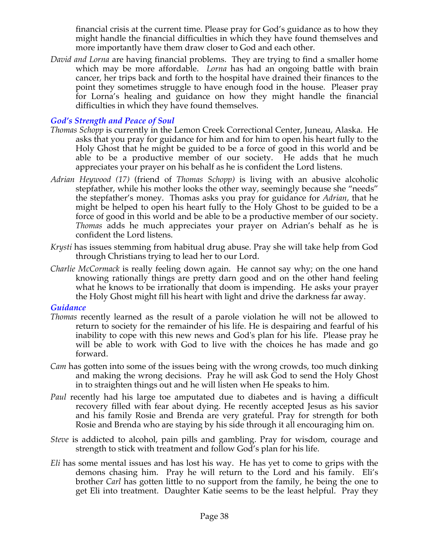financial crisis at the current time. Please pray for God's guidance as to how they might handle the financial difficulties in which they have found themselves and more importantly have them draw closer to God and each other.

*David and Lorna* are having financial problems. They are trying to find a smaller home which may be more affordable. *Lorna* has had an ongoing battle with brain cancer, her trips back and forth to the hospital have drained their finances to the point they sometimes struggle to have enough food in the house. Pleaser pray for Lorna's healing and guidance on how they might handle the financial difficulties in which they have found themselves.

### *God's Strength and Peace of Soul*

- *Thomas Schopp* is currently in the Lemon Creek Correctional Center, Juneau, Alaska. He asks that you pray for guidance for him and for him to open his heart fully to the Holy Ghost that he might be guided to be a force of good in this world and be able to be a productive member of our society. He adds that he much appreciates your prayer on his behalf as he is confident the Lord listens.
- *Adrian Heywood (17)* (friend of *Thomas Schopp)* is living with an abusive alcoholic stepfather, while his mother looks the other way, seemingly because she "needs" the stepfather's money. Thomas asks you pray for guidance for *Adrian*, that he might be helped to open his heart fully to the Holy Ghost to be guided to be a force of good in this world and be able to be a productive member of our society. *Thomas* adds he much appreciates your prayer on Adrian's behalf as he is confident the Lord listens.
- *Krysti* has issues stemming from habitual drug abuse. Pray she will take help from God through Christians trying to lead her to our Lord.
- *Charlie McCormack* is really feeling down again. He cannot say why; on the one hand knowing rationally things are pretty darn good and on the other hand feeling what he knows to be irrationally that doom is impending. He asks your prayer the Holy Ghost might fill his heart with light and drive the darkness far away.

#### *Guidance*

- *Thomas* recently learned as the result of a parole violation he will not be allowed to return to society for the remainder of his life. He is despairing and fearful of his inability to cope with this new news and God's plan for his life. Please pray he will be able to work with God to live with the choices he has made and go forward.
- *Cam* has gotten into some of the issues being with the wrong crowds, too much dinking and making the wrong decisions. Pray he will ask God to send the Holy Ghost in to straighten things out and he will listen when He speaks to him.
- *Paul* recently had his large toe amputated due to diabetes and is having a difficult recovery filled with fear about dying. He recently accepted Jesus as his savior and his family Rosie and Brenda are very grateful. Pray for strength for both Rosie and Brenda who are staying by his side through it all encouraging him on.
- *Steve* is addicted to alcohol, pain pills and gambling. Pray for wisdom, courage and strength to stick with treatment and follow God's plan for his life.
- *Eli* has some mental issues and has lost his way. He has yet to come to grips with the demons chasing him. Pray he will return to the Lord and his family. Eli's brother *Carl* has gotten little to no support from the family, he being the one to get Eli into treatment. Daughter Katie seems to be the least helpful. Pray they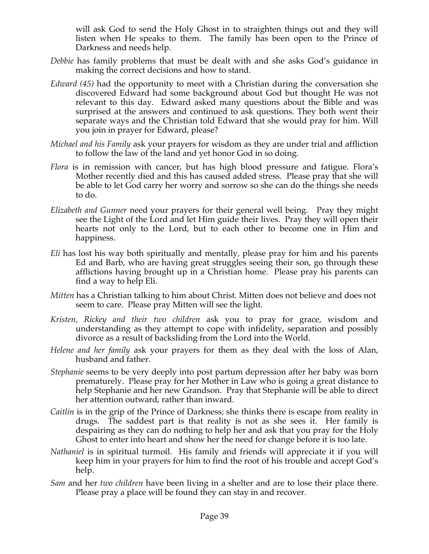will ask God to send the Holy Ghost in to straighten things out and they will listen when He speaks to them. The family has been open to the Prince of Darkness and needs help.

- *Debbie* has family problems that must be dealt with and she asks God's guidance in making the correct decisions and how to stand.
- *Edward (45)* had the opportunity to meet with a Christian during the conversation she discovered Edward had some background about God but thought He was not relevant to this day. Edward asked many questions about the Bible and was surprised at the answers and continued to ask questions. They both went their separate ways and the Christian told Edward that she would pray for him. Will you join in prayer for Edward, please?
- *Michael and his Family* ask your prayers for wisdom as they are under trial and affliction to follow the law of the land and yet honor God in so doing.
- *Flora* is in remission with cancer, but has high blood pressure and fatigue. Flora's Mother recently died and this has caused added stress. Please pray that she will be able to let God carry her worry and sorrow so she can do the things she needs to do.
- *Elizabeth and Gunner* need your prayers for their general well being. Pray they might see the Light of the Lord and let Him guide their lives. Pray they will open their hearts not only to the Lord, but to each other to become one in Him and happiness.
- *Eli* has lost his way both spiritually and mentally, please pray for him and his parents Ed and Barb, who are having great struggles seeing their son, go through these afflictions having brought up in a Christian home. Please pray his parents can find a way to help Eli.
- *Mitten* has a Christian talking to him about Christ. Mitten does not believe and does not seem to care. Please pray Mitten will see the light.
- *Kristen, Rickey and their two children* ask you to pray for grace, wisdom and understanding as they attempt to cope with infidelity, separation and possibly divorce as a result of backsliding from the Lord into the World.
- *Helene and her family* ask your prayers for them as they deal with the loss of Alan, husband and father.
- *Stephanie* seems to be very deeply into post partum depression after her baby was born prematurely. Please pray for her Mother in Law who is going a great distance to help Stephanie and her new Grandson. Pray that Stephanie will be able to direct her attention outward, rather than inward.
- *Caitlin* is in the grip of the Prince of Darkness; she thinks there is escape from reality in drugs. The saddest part is that reality is not as she sees it. Her family is despairing as they can do nothing to help her and ask that you pray for the Holy Ghost to enter into heart and show her the need for change before it is too late.
- *Nathaniel* is in spiritual turmoil. His family and friends will appreciate it if you will keep him in your prayers for him to find the root of his trouble and accept God's help.
- *Sam* and her *two children* have been living in a shelter and are to lose their place there. Please pray a place will be found they can stay in and recover.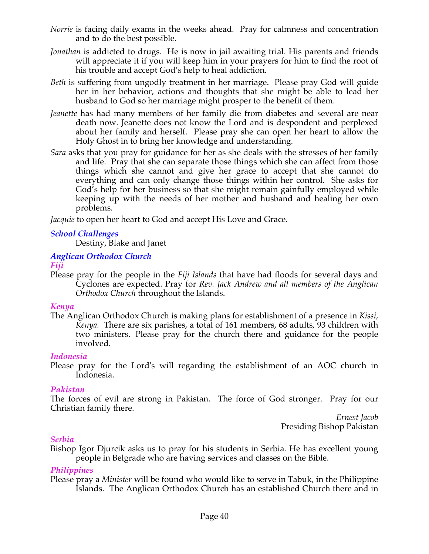- *Norrie* is facing daily exams in the weeks ahead. Pray for calmness and concentration and to do the best possible.
- *Jonathan* is addicted to drugs. He is now in jail awaiting trial. His parents and friends will appreciate it if you will keep him in your prayers for him to find the root of his trouble and accept God's help to heal addiction.
- *Beth* is suffering from ungodly treatment in her marriage. Please pray God will guide her in her behavior, actions and thoughts that she might be able to lead her husband to God so her marriage might prosper to the benefit of them.
- *Jeanette* has had many members of her family die from diabetes and several are near death now. Jeanette does not know the Lord and is despondent and perplexed about her family and herself. Please pray she can open her heart to allow the Holy Ghost in to bring her knowledge and understanding.
- *Sara* asks that you pray for guidance for her as she deals with the stresses of her family and life. Pray that she can separate those things which she can affect from those things which she cannot and give her grace to accept that she cannot do everything and can only change those things within her control. She asks for God's help for her business so that she might remain gainfully employed while keeping up with the needs of her mother and husband and healing her own problems.

*Jacquie* to open her heart to God and accept His Love and Grace.

# *School Challenges*

Destiny, Blake and Janet

# *Anglican Orthodox Church*

# *Fiji*

Please pray for the people in the *Fiji Islands* that have had floods for several days and Cyclones are expected. Pray for *Rev. Jack Andrew and all members of the Anglican Orthodox Church* throughout the Islands.

# *Kenya*

The Anglican Orthodox Church is making plans for establishment of a presence in *Kissi, Kenya.* There are six parishes, a total of 161 members, 68 adults, 93 children with two ministers. Please pray for the church there and guidance for the people involved.

# *Indonesia*

Please pray for the Lord's will regarding the establishment of an AOC church in Indonesia.

# *Pakistan*

The forces of evil are strong in Pakistan. The force of God stronger. Pray for our Christian family there.

*Ernest Jacob* Presiding Bishop Pakistan

# *Serbia*

Bishop Igor Djurcik asks us to pray for his students in Serbia. He has excellent young people in Belgrade who are having services and classes on the Bible.

# *Philippines*

Please pray a *Minister* will be found who would like to serve in Tabuk, in the Philippine Islands. The Anglican Orthodox Church has an established Church there and in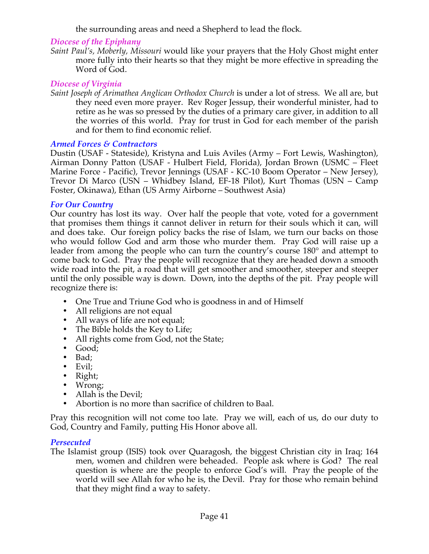the surrounding areas and need a Shepherd to lead the flock*.*

### *Diocese of the Epiphany*

*Saint Paul's, Moberly, Missouri* would like your prayers that the Holy Ghost might enter more fully into their hearts so that they might be more effective in spreading the Word of God.

### *Diocese of Virginia*

*Saint Joseph of Arimathea Anglican Orthodox Church* is under a lot of stress. We all are, but they need even more prayer. Rev Roger Jessup, their wonderful minister, had to retire as he was so pressed by the duties of a primary care giver, in addition to all the worries of this world. Pray for trust in God for each member of the parish and for them to find economic relief.

#### *Armed Forces & Contractors*

Dustin (USAF - Stateside), Kristyna and Luis Aviles (Army – Fort Lewis, Washington), Airman Donny Patton (USAF - Hulbert Field, Florida), Jordan Brown (USMC – Fleet Marine Force - Pacific), Trevor Jennings (USAF - KC-10 Boom Operator – New Jersey), Trevor Di Marco (USN – Whidbey Island, EF-18 Pilot), Kurt Thomas (USN – Camp Foster, Okinawa), Ethan (US Army Airborne – Southwest Asia)

#### *For Our Country*

Our country has lost its way. Over half the people that vote, voted for a government that promises them things it cannot deliver in return for their souls which it can, will and does take. Our foreign policy backs the rise of Islam, we turn our backs on those who would follow God and arm those who murder them. Pray God will raise up a leader from among the people who can turn the country's course 180° and attempt to come back to God. Pray the people will recognize that they are headed down a smooth wide road into the pit, a road that will get smoother and smoother, steeper and steeper until the only possible way is down. Down, into the depths of the pit. Pray people will recognize there is:

- One True and Triune God who is goodness in and of Himself
- All religions are not equal
- All ways of life are not equal;
- The Bible holds the Key to Life;
- All rights come from God, not the State;
- Good;
- Bad;
- Evil;
- Right;
- Wrong;
- Allah is the Devil;<br>• Abortion is no mo
- Abortion is no more than sacrifice of children to Baal.

Pray this recognition will not come too late. Pray we will, each of us, do our duty to God, Country and Family, putting His Honor above all.

# *Persecuted*

The Islamist group (ISIS) took over Quaragosh, the biggest Christian city in Iraq; 164 men, women and children were beheaded. People ask where is God? The real question is where are the people to enforce God's will. Pray the people of the world will see Allah for who he is, the Devil. Pray for those who remain behind that they might find a way to safety.